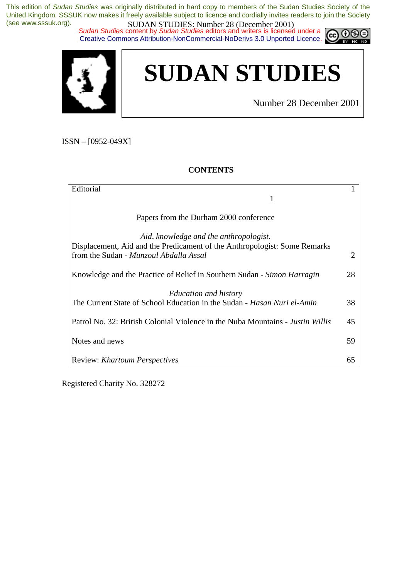*Sudan Studies* content by *Sudan Studies* editors and writers is licensed under a Creative Commons Attribution-NonCommercial-NoDerivs 3.0 Unported Licence.





Number 28 December 2001

റഭ

ISSN – [0952-049X]

#### **CONTENTS**

| Editorial                                                                            |  |
|--------------------------------------------------------------------------------------|--|
| 1                                                                                    |  |
|                                                                                      |  |
| Papers from the Durham 2000 conference                                               |  |
|                                                                                      |  |
| Aid, knowledge and the anthropologist.                                               |  |
| Displacement, Aid and the Predicament of the Anthropologist: Some Remarks            |  |
| from the Sudan - Munzoul Abdalla Assal<br>2                                          |  |
|                                                                                      |  |
| Knowledge and the Practice of Relief in Southern Sudan - Simon Harragin<br>28        |  |
|                                                                                      |  |
| <b>Education and history</b>                                                         |  |
| The Current State of School Education in the Sudan - Hasan Nuri el-Amin<br>38        |  |
|                                                                                      |  |
| Patrol No. 32: British Colonial Violence in the Nuba Mountains - Justin Willis<br>45 |  |
|                                                                                      |  |
| Notes and news<br>59                                                                 |  |
|                                                                                      |  |
| <b>Review: Khartoum Perspectives</b><br>65                                           |  |

Registered Charity No. 328272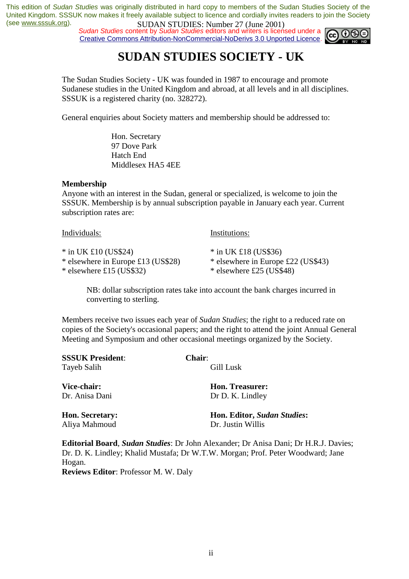**SUDAN STUDES.** Number 27 Game 2001,<br>*Sudan Studies* content by *Sudan Studies* editors and writers is licensed under a Creative Commons Attribution-NonCommercial-NoDerivs 3.0 Unported Licence.



# **SUDAN STUDIES SOCIETY - UK**

The Sudan Studies Society - UK was founded in 1987 to encourage and promote Sudanese studies in the United Kingdom and abroad, at all levels and in all disciplines. SSSUK is a registered charity (no. 328272).

General enquiries about Society matters and membership should be addressed to:

 Hon. Secretary 97 Dove Park Hatch End Middlesex HA5 4EE

#### **Membership**

Anyone with an interest in the Sudan, general or specialized, is welcome to join the SSSUK. Membership is by annual subscription payable in January each year. Current subscription rates are:

| Individuals:                       | Institutions:                      |
|------------------------------------|------------------------------------|
| $*$ in UK £10 (US\$24)             | $*$ in UK £18 (US\$36)             |
| * elsewhere in Europe £13 (US\$28) | * elsewhere in Europe £22 (US\$43) |
| $*$ elsewhere £15 (US\$32)         | $*$ elsewhere £25 (US\$48)         |

NB: dollar subscription rates take into account the bank charges incurred in converting to sterling.

Members receive two issues each year of *Sudan Studies*; the right to a reduced rate on copies of the Society's occasional papers; and the right to attend the joint Annual General Meeting and Symposium and other occasional meetings organized by the Society.

| <b>SSSUK President:</b> | <b>Chair:</b>               |
|-------------------------|-----------------------------|
| Tayeb Salih             | Gill Lusk                   |
| Vice-chair:             | <b>Hon. Treasurer:</b>      |
| Dr. Anisa Dani          | Dr D. K. Lindley            |
| <b>Hon. Secretary:</b>  | Hon. Editor, Sudan Studies: |
| Aliya Mahmoud           | Dr. Justin Willis           |
|                         |                             |

**Editorial Board**, *Sudan Studies*: Dr John Alexander; Dr Anisa Dani; Dr H.R.J. Davies; Dr. D. K. Lindley; Khalid Mustafa; Dr W.T.W. Morgan; Prof. Peter Woodward; Jane Hogan. **Reviews Editor**: Professor M. W. Daly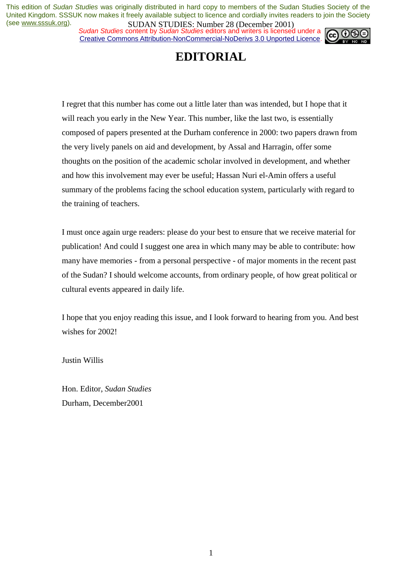*Sudan Studies* content by *Sudan Studies* editors and writers is licensed under a Creative Commons Attribution-NonCommercial-NoDerivs 3.0 Unported Licence.



# **EDITORIAL**

I regret that this number has come out a little later than was intended, but I hope that it will reach you early in the New Year. This number, like the last two, is essentially composed of papers presented at the Durham conference in 2000: two papers drawn from the very lively panels on aid and development, by Assal and Harragin, offer some thoughts on the position of the academic scholar involved in development, and whether and how this involvement may ever be useful; Hassan Nuri el-Amin offers a useful summary of the problems facing the school education system, particularly with regard to the training of teachers.

I must once again urge readers: please do your best to ensure that we receive material for publication! And could I suggest one area in which many may be able to contribute: how many have memories - from a personal perspective - of major moments in the recent past of the Sudan? I should welcome accounts, from ordinary people, of how great political or cultural events appeared in daily life.

I hope that you enjoy reading this issue, and I look forward to hearing from you. And best wishes for 2002!

Justin Willis

Hon. Editor, *Sudan Studies* Durham, December2001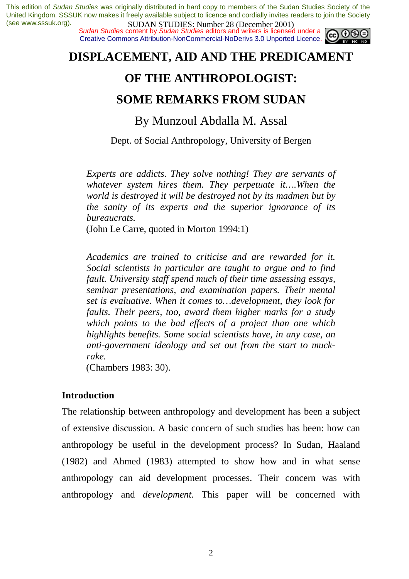*Sudan Studies* content by *Sudan Studies* editors and writers is licensed under a Creative Commons Attribution-NonCommercial-NoDerivs 3.0 Unported Licence.



# **DISPLACEMENT, AID AND THE PREDICAMENT**

# **OF THE ANTHROPOLOGIST:**

## **SOME REMARKS FROM SUDAN**

By Munzoul Abdalla M. Assal

Dept. of Social Anthropology, University of Bergen

*Experts are addicts. They solve nothing! They are servants of whatever system hires them. They perpetuate it….When the world is destroyed it will be destroyed not by its madmen but by the sanity of its experts and the superior ignorance of its bureaucrats.* 

(John Le Carre, quoted in Morton 1994:1)

*Academics are trained to criticise and are rewarded for it. Social scientists in particular are taught to argue and to find fault. University staff spend much of their time assessing essays, seminar presentations, and examination papers. Their mental set is evaluative. When it comes to…development, they look for faults. Their peers, too, award them higher marks for a study which points to the bad effects of a project than one which highlights benefits. Some social scientists have, in any case, an anti-government ideology and set out from the start to muckrake.* 

(Chambers 1983: 30).

## **Introduction**

The relationship between anthropology and development has been a subject of extensive discussion. A basic concern of such studies has been: how can anthropology be useful in the development process? In Sudan, Haaland (1982) and Ahmed (1983) attempted to show how and in what sense anthropology can aid development processes. Their concern was with anthropology and *development*. This paper will be concerned with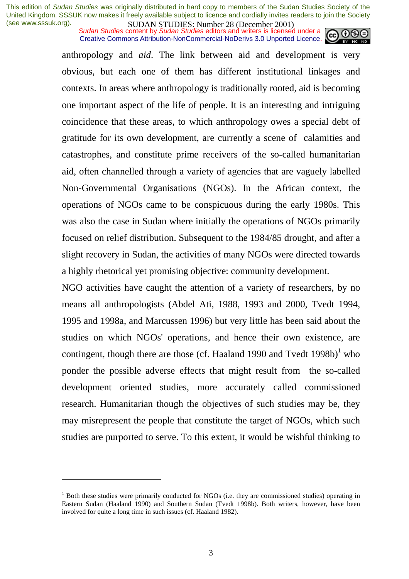*Sudan Studies* content by *Sudan Studies* editors and writers is licensed under a Creative Commons Attribution-NonCommercial-NoDerivs 3.0 Unported Licence.



anthropology and *aid*. The link between aid and development is very obvious, but each one of them has different institutional linkages and contexts. In areas where anthropology is traditionally rooted, aid is becoming one important aspect of the life of people. It is an interesting and intriguing coincidence that these areas, to which anthropology owes a special debt of gratitude for its own development, are currently a scene of calamities and catastrophes, and constitute prime receivers of the so-called humanitarian aid, often channelled through a variety of agencies that are vaguely labelled Non-Governmental Organisations (NGOs). In the African context, the operations of NGOs came to be conspicuous during the early 1980s. This was also the case in Sudan where initially the operations of NGOs primarily focused on relief distribution. Subsequent to the 1984/85 drought, and after a slight recovery in Sudan, the activities of many NGOs were directed towards a highly rhetorical yet promising objective: community development.

NGO activities have caught the attention of a variety of researchers, by no means all anthropologists (Abdel Ati, 1988, 1993 and 2000, Tvedt 1994, 1995 and 1998a, and Marcussen 1996) but very little has been said about the studies on which NGOs' operations, and hence their own existence, are contingent, though there are those (cf. Haaland 1990 and Tvedt  $1998b$ )<sup>1</sup> who ponder the possible adverse effects that might result from the so-called development oriented studies, more accurately called commissioned research. Humanitarian though the objectives of such studies may be, they may misrepresent the people that constitute the target of NGOs, which such studies are purported to serve. To this extent, it would be wishful thinking to

<sup>&</sup>lt;sup>1</sup> Both these studies were primarily conducted for NGOs (i.e. they are commissioned studies) operating in Eastern Sudan (Haaland 1990) and Southern Sudan (Tvedt 1998b). Both writers, however, have been involved for quite a long time in such issues (cf. Haaland 1982).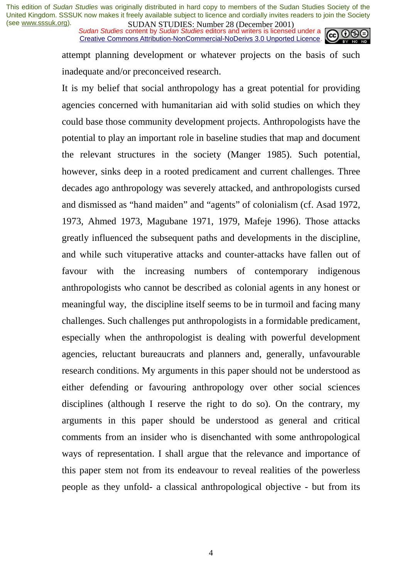*Sudan Studies* content by *Sudan Studies* editors and writers is licensed under a Creative Commons Attribution-NonCommercial-NoDerivs 3.0 Unported Licence.



attempt planning development or whatever projects on the basis of such inadequate and/or preconceived research.

It is my belief that social anthropology has a great potential for providing agencies concerned with humanitarian aid with solid studies on which they could base those community development projects. Anthropologists have the potential to play an important role in baseline studies that map and document the relevant structures in the society (Manger 1985). Such potential, however, sinks deep in a rooted predicament and current challenges. Three decades ago anthropology was severely attacked, and anthropologists cursed and dismissed as "hand maiden" and "agents" of colonialism (cf. Asad 1972, 1973, Ahmed 1973, Magubane 1971, 1979, Mafeje 1996). Those attacks greatly influenced the subsequent paths and developments in the discipline, and while such vituperative attacks and counter-attacks have fallen out of favour with the increasing numbers of contemporary indigenous anthropologists who cannot be described as colonial agents in any honest or meaningful way, the discipline itself seems to be in turmoil and facing many challenges. Such challenges put anthropologists in a formidable predicament, especially when the anthropologist is dealing with powerful development agencies, reluctant bureaucrats and planners and, generally, unfavourable research conditions. My arguments in this paper should not be understood as either defending or favouring anthropology over other social sciences disciplines (although I reserve the right to do so). On the contrary, my arguments in this paper should be understood as general and critical comments from an insider who is disenchanted with some anthropological ways of representation. I shall argue that the relevance and importance of this paper stem not from its endeavour to reveal realities of the powerless people as they unfold- a classical anthropological objective - but from its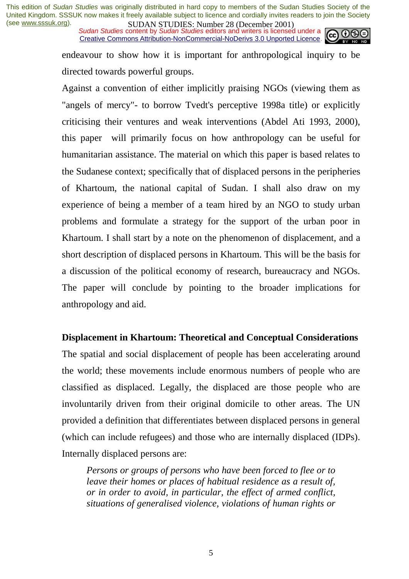*Sudan Studies* content by *Sudan Studies* editors and writers is licensed under a Creative Commons Attribution-NonCommercial-NoDerivs 3.0 Unported Licence.



endeavour to show how it is important for anthropological inquiry to be directed towards powerful groups.

Against a convention of either implicitly praising NGOs (viewing them as "angels of mercy"- to borrow Tvedt's perceptive 1998a title) or explicitly criticising their ventures and weak interventions (Abdel Ati 1993, 2000), this paper will primarily focus on how anthropology can be useful for humanitarian assistance. The material on which this paper is based relates to the Sudanese context; specifically that of displaced persons in the peripheries of Khartoum, the national capital of Sudan. I shall also draw on my experience of being a member of a team hired by an NGO to study urban problems and formulate a strategy for the support of the urban poor in Khartoum. I shall start by a note on the phenomenon of displacement, and a short description of displaced persons in Khartoum. This will be the basis for a discussion of the political economy of research, bureaucracy and NGOs. The paper will conclude by pointing to the broader implications for anthropology and aid.

## **Displacement in Khartoum: Theoretical and Conceptual Considerations**

The spatial and social displacement of people has been accelerating around the world; these movements include enormous numbers of people who are classified as displaced. Legally, the displaced are those people who are involuntarily driven from their original domicile to other areas. The UN provided a definition that differentiates between displaced persons in general (which can include refugees) and those who are internally displaced (IDPs). Internally displaced persons are:

*Persons or groups of persons who have been forced to flee or to leave their homes or places of habitual residence as a result of, or in order to avoid, in particular, the effect of armed conflict, situations of generalised violence, violations of human rights or*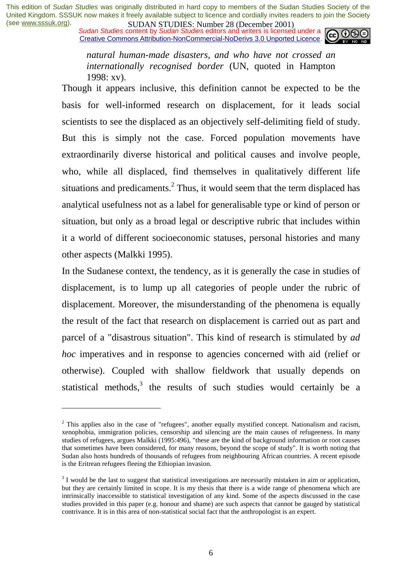*Sudan Studies* content by *Sudan Studies* editors and writers is licensed under a Creative Commons Attribution-NonCommercial-NoDerivs 3.0 Unported Licence.



*natural human-made disasters, and who have not crossed an internationally recognised border* (UN, quoted in Hampton 1998: xv).

Though it appears inclusive, this definition cannot be expected to be the basis for well-informed research on displacement, for it leads social scientists to see the displaced as an objectively self-delimiting field of study. But this is simply not the case. Forced population movements have extraordinarily diverse historical and political causes and involve people, who, while all displaced, find themselves in qualitatively different life situations and predicaments.<sup>2</sup> Thus, it would seem that the term displaced has analytical usefulness not as a label for generalisable type or kind of person or situation, but only as a broad legal or descriptive rubric that includes within it a world of different socioeconomic statuses, personal histories and many other aspects (Malkki 1995).

In the Sudanese context, the tendency, as it is generally the case in studies of displacement, is to lump up all categories of people under the rubric of displacement. Moreover, the misunderstanding of the phenomena is equally the result of the fact that research on displacement is carried out as part and parcel of a "disastrous situation". This kind of research is stimulated by *ad hoc* imperatives and in response to agencies concerned with aid (relief or otherwise). Coupled with shallow fieldwork that usually depends on statistical methods, $3$  the results of such studies would certainly be a

 $2$  This applies also in the case of "refugees", another equally mystified concept. Nationalism and racism, xenophobia, immigration policies, censorship and silencing are the main causes of refugeeness. In many studies of refugees, argues Malkki (1995:496), "these are the kind of background information or root causes that sometimes have been considered, for many reasons, beyond the scope of study". It is worth noting that Sudan also hosts hundreds of thousands of refugees from neighbouring African countries. A recent episode is the Eritrean refugees fleeing the Ethiopian invasion.

 $3$  I would be the last to suggest that statistical investigations are necessarily mistaken in aim or application, but they are certainly limited in scope. It is my thesis that there is a wide range of phenomena which are intrinsically inaccessible to statistical investigation of any kind. Some of the aspects discussed in the case studies provided in this paper (e.g. honour and shame) are such aspects that cannot be gauged by statistical contrivance. It is in this area of non-statistical social fact that the anthropologist is an expert.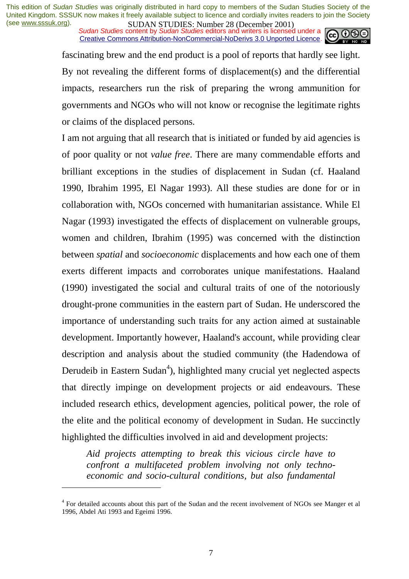*Sudan Studies* content by *Sudan Studies* editors and writers is licensed under a Creative Commons Attribution-NonCommercial-NoDerivs 3.0 Unported Licence.



fascinating brew and the end product is a pool of reports that hardly see light. By not revealing the different forms of displacement(s) and the differential impacts, researchers run the risk of preparing the wrong ammunition for governments and NGOs who will not know or recognise the legitimate rights or claims of the displaced persons.

I am not arguing that all research that is initiated or funded by aid agencies is of poor quality or not *value free*. There are many commendable efforts and brilliant exceptions in the studies of displacement in Sudan (cf. Haaland 1990, Ibrahim 1995, El Nagar 1993). All these studies are done for or in collaboration with, NGOs concerned with humanitarian assistance. While El Nagar (1993) investigated the effects of displacement on vulnerable groups, women and children, Ibrahim (1995) was concerned with the distinction between *spatial* and *socioeconomic* displacements and how each one of them exerts different impacts and corroborates unique manifestations. Haaland (1990) investigated the social and cultural traits of one of the notoriously drought-prone communities in the eastern part of Sudan. He underscored the importance of understanding such traits for any action aimed at sustainable development. Importantly however, Haaland's account, while providing clear description and analysis about the studied community (the Hadendowa of Derudeib in Eastern Sudan<sup>4</sup>), highlighted many crucial yet neglected aspects that directly impinge on development projects or aid endeavours. These included research ethics, development agencies, political power, the role of the elite and the political economy of development in Sudan. He succinctly highlighted the difficulties involved in aid and development projects:

*Aid projects attempting to break this vicious circle have to confront a multifaceted problem involving not only technoeconomic and socio-cultural conditions, but also fundamental* 

<sup>&</sup>lt;sup>4</sup> For detailed accounts about this part of the Sudan and the recent involvement of NGOs see Manger et al 1996, Abdel Ati 1993 and Egeimi 1996.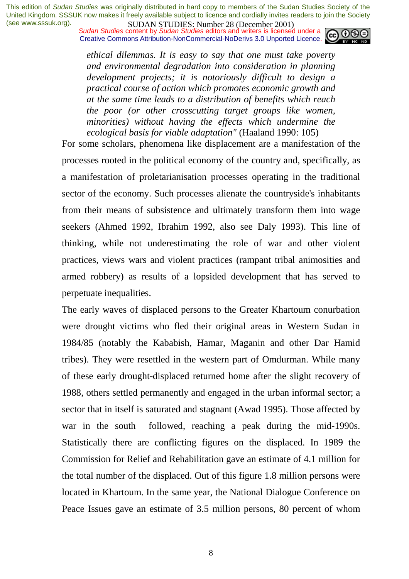*Sudan Studies* content by *Sudan Studies* editors and writers is licensed under a Creative Commons Attribution-NonCommercial-NoDerivs 3.0 Unported Licence.



*ethical dilemmas. It is easy to say that one must take poverty and environmental degradation into consideration in planning development projects; it is notoriously difficult to design a practical course of action which promotes economic growth and at the same time leads to a distribution of benefits which reach the poor (or other crosscutting target groups like women, minorities) without having the effects which undermine the ecological basis for viable adaptation"* (Haaland 1990: 105)

For some scholars, phenomena like displacement are a manifestation of the processes rooted in the political economy of the country and, specifically, as a manifestation of proletarianisation processes operating in the traditional sector of the economy. Such processes alienate the countryside's inhabitants from their means of subsistence and ultimately transform them into wage seekers (Ahmed 1992, Ibrahim 1992, also see Daly 1993). This line of thinking, while not underestimating the role of war and other violent practices, views wars and violent practices (rampant tribal animosities and armed robbery) as results of a lopsided development that has served to perpetuate inequalities.

The early waves of displaced persons to the Greater Khartoum conurbation were drought victims who fled their original areas in Western Sudan in 1984/85 (notably the Kababish, Hamar, Maganin and other Dar Hamid tribes). They were resettled in the western part of Omdurman. While many of these early drought-displaced returned home after the slight recovery of 1988, others settled permanently and engaged in the urban informal sector; a sector that in itself is saturated and stagnant (Awad 1995). Those affected by war in the south followed, reaching a peak during the mid-1990s. Statistically there are conflicting figures on the displaced. In 1989 the Commission for Relief and Rehabilitation gave an estimate of 4.1 million for the total number of the displaced. Out of this figure 1.8 million persons were located in Khartoum. In the same year, the National Dialogue Conference on Peace Issues gave an estimate of 3.5 million persons, 80 percent of whom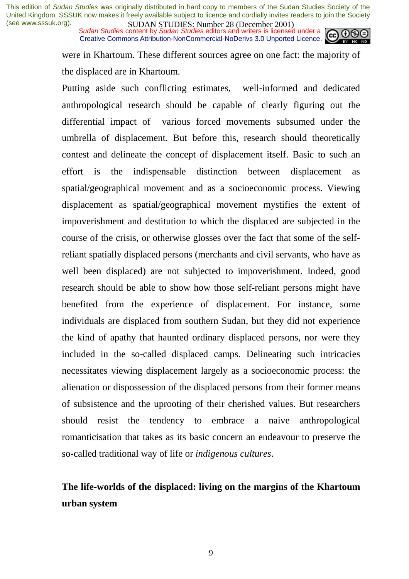*Sudan Studies* content by *Sudan Studies* editors and writers is licensed under a Creative Commons Attribution-NonCommercial-NoDerivs 3.0 Unported Licence.



were in Khartoum. These different sources agree on one fact: the majority of the displaced are in Khartoum.

Putting aside such conflicting estimates, well-informed and dedicated anthropological research should be capable of clearly figuring out the differential impact of various forced movements subsumed under the umbrella of displacement. But before this, research should theoretically contest and delineate the concept of displacement itself. Basic to such an effort is the indispensable distinction between displacement as spatial/geographical movement and as a socioeconomic process. Viewing displacement as spatial/geographical movement mystifies the extent of impoverishment and destitution to which the displaced are subjected in the course of the crisis, or otherwise glosses over the fact that some of the selfreliant spatially displaced persons (merchants and civil servants, who have as well been displaced) are not subjected to impoverishment. Indeed, good research should be able to show how those self-reliant persons might have benefited from the experience of displacement. For instance, some individuals are displaced from southern Sudan, but they did not experience the kind of apathy that haunted ordinary displaced persons, nor were they included in the so-called displaced camps. Delineating such intricacies necessitates viewing displacement largely as a socioeconomic process: the alienation or dispossession of the displaced persons from their former means of subsistence and the uprooting of their cherished values. But researchers should resist the tendency to embrace a naive anthropological romanticisation that takes as its basic concern an endeavour to preserve the so-called traditional way of life or *indigenous cultures*.

# **The life-worlds of the displaced: living on the margins of the Khartoum urban system**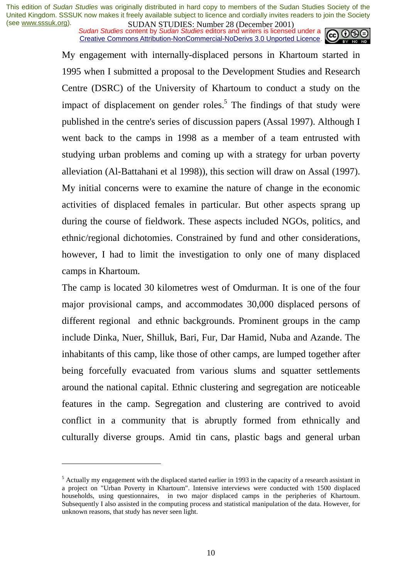*Sudan Studies* content by *Sudan Studies* editors and writers is licensed under a Creative Commons Attribution-NonCommercial-NoDerivs 3.0 Unported Licence.



My engagement with internally-displaced persons in Khartoum started in 1995 when I submitted a proposal to the Development Studies and Research Centre (DSRC) of the University of Khartoum to conduct a study on the impact of displacement on gender roles.<sup>5</sup> The findings of that study were published in the centre's series of discussion papers (Assal 1997). Although I went back to the camps in 1998 as a member of a team entrusted with studying urban problems and coming up with a strategy for urban poverty alleviation (Al-Battahani et al 1998)), this section will draw on Assal (1997). My initial concerns were to examine the nature of change in the economic activities of displaced females in particular. But other aspects sprang up during the course of fieldwork. These aspects included NGOs, politics, and ethnic/regional dichotomies. Constrained by fund and other considerations, however, I had to limit the investigation to only one of many displaced camps in Khartoum.

The camp is located 30 kilometres west of Omdurman. It is one of the four major provisional camps, and accommodates 30,000 displaced persons of different regional and ethnic backgrounds. Prominent groups in the camp include Dinka, Nuer, Shilluk, Bari, Fur, Dar Hamid, Nuba and Azande. The inhabitants of this camp, like those of other camps, are lumped together after being forcefully evacuated from various slums and squatter settlements around the national capital. Ethnic clustering and segregation are noticeable features in the camp. Segregation and clustering are contrived to avoid conflict in a community that is abruptly formed from ethnically and culturally diverse groups. Amid tin cans, plastic bags and general urban

<sup>&</sup>lt;sup>5</sup> Actually my engagement with the displaced started earlier in 1993 in the capacity of a research assistant in a project on "Urban Poverty in Khartoum". Intensive interviews were conducted with 1500 displaced households, using questionnaires, in two major displaced camps in the peripheries of Khartoum. Subsequently I also assisted in the computing process and statistical manipulation of the data. However, for unknown reasons, that study has never seen light.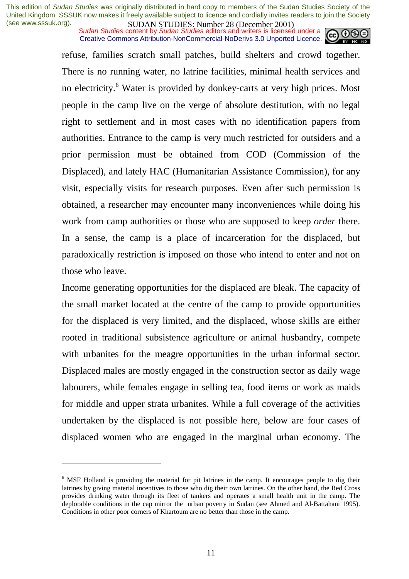*Sudan Studies* content by *Sudan Studies* editors and writers is licensed under a Creative Commons Attribution-NonCommercial-NoDerivs 3.0 Unported Licence.



refuse, families scratch small patches, build shelters and crowd together. There is no running water, no latrine facilities, minimal health services and no electricity.<sup>6</sup> Water is provided by donkey-carts at very high prices. Most people in the camp live on the verge of absolute destitution, with no legal right to settlement and in most cases with no identification papers from authorities. Entrance to the camp is very much restricted for outsiders and a prior permission must be obtained from COD (Commission of the Displaced), and lately HAC (Humanitarian Assistance Commission), for any visit, especially visits for research purposes. Even after such permission is obtained, a researcher may encounter many inconveniences while doing his work from camp authorities or those who are supposed to keep *order* there. In a sense, the camp is a place of incarceration for the displaced, but paradoxically restriction is imposed on those who intend to enter and not on those who leave.

Income generating opportunities for the displaced are bleak. The capacity of the small market located at the centre of the camp to provide opportunities for the displaced is very limited, and the displaced, whose skills are either rooted in traditional subsistence agriculture or animal husbandry, compete with urbanites for the meagre opportunities in the urban informal sector. Displaced males are mostly engaged in the construction sector as daily wage labourers, while females engage in selling tea, food items or work as maids for middle and upper strata urbanites. While a full coverage of the activities undertaken by the displaced is not possible here, below are four cases of displaced women who are engaged in the marginal urban economy. The

<sup>&</sup>lt;sup>6</sup> MSF Holland is providing the material for pit latrines in the camp. It encourages people to dig their latrines by giving material incentives to those who dig their own latrines. On the other hand, the Red Cross provides drinking water through its fleet of tankers and operates a small health unit in the camp. The deplorable conditions in the cap mirror the urban poverty in Sudan (see Ahmed and Al-Battahani 1995). Conditions in other poor corners of Khartoum are no better than those in the camp.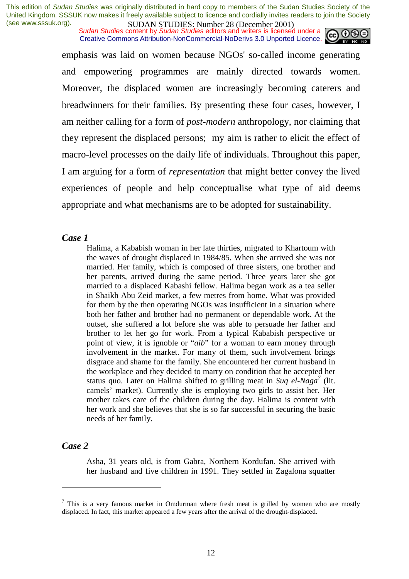*Sudan Studies* content by *Sudan Studies* editors and writers is licensed under a Creative Commons Attribution-NonCommercial-NoDerivs 3.0 Unported Licence.



emphasis was laid on women because NGOs' so-called income generating and empowering programmes are mainly directed towards women. Moreover, the displaced women are increasingly becoming caterers and breadwinners for their families. By presenting these four cases, however, I am neither calling for a form of *post-modern* anthropology, nor claiming that they represent the displaced persons; my aim is rather to elicit the effect of macro-level processes on the daily life of individuals. Throughout this paper, I am arguing for a form of *representation* that might better convey the lived experiences of people and help conceptualise what type of aid deems appropriate and what mechanisms are to be adopted for sustainability.

#### *Case 1*

Halima, a Kababish woman in her late thirties, migrated to Khartoum with the waves of drought displaced in 1984/85. When she arrived she was not married. Her family, which is composed of three sisters, one brother and her parents, arrived during the same period. Three years later she got married to a displaced Kabashi fellow. Halima began work as a tea seller in Shaikh Abu Zeid market, a few metres from home. What was provided for them by the then operating NGOs was insufficient in a situation where both her father and brother had no permanent or dependable work. At the outset, she suffered a lot before she was able to persuade her father and brother to let her go for work. From a typical Kababish perspective or point of view, it is ignoble or "*aib*" for a woman to earn money through involvement in the market. For many of them, such involvement brings disgrace and shame for the family. She encountered her current husband in the workplace and they decided to marry on condition that he accepted her status quo. Later on Halima shifted to grilling meat in *Suq el-Naga*<sup>7</sup> (lit. camels' market). Currently she is employing two girls to assist her. Her mother takes care of the children during the day. Halima is content with her work and she believes that she is so far successful in securing the basic needs of her family.

#### *Case 2*

 $\overline{a}$ 

Asha, 31 years old, is from Gabra, Northern Kordufan. She arrived with her husband and five children in 1991. They settled in Zagalona squatter

 $<sup>7</sup>$  This is a very famous market in Omdurman where fresh meat is grilled by women who are mostly</sup> displaced. In fact, this market appeared a few years after the arrival of the drought-displaced.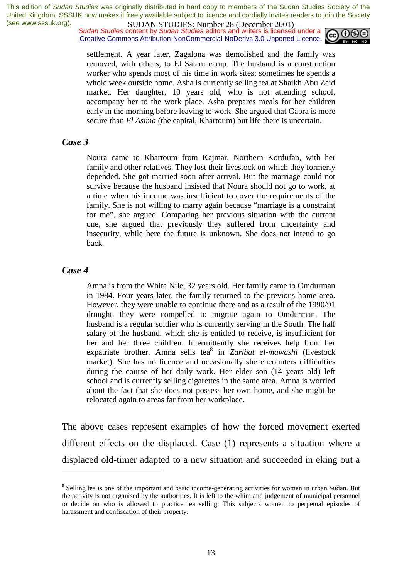*Sudan Studies* content by *Sudan Studies* editors and writers is licensed under a Creative Commons Attribution-NonCommercial-NoDerivs 3.0 Unported Licence.



settlement. A year later, Zagalona was demolished and the family was removed, with others, to El Salam camp. The husband is a construction worker who spends most of his time in work sites; sometimes he spends a whole week outside home. Asha is currently selling tea at Shaikh Abu Zeid market. Her daughter, 10 years old, who is not attending school, accompany her to the work place. Asha prepares meals for her children early in the morning before leaving to work. She argued that Gabra is more secure than *El Asima* (the capital, Khartoum) but life there is uncertain.

#### *Case 3*

Noura came to Khartoum from Kajmar, Northern Kordufan, with her family and other relatives. They lost their livestock on which they formerly depended. She got married soon after arrival. But the marriage could not survive because the husband insisted that Noura should not go to work, at a time when his income was insufficient to cover the requirements of the family. She is not willing to marry again because "marriage is a constraint for me", she argued. Comparing her previous situation with the current one, she argued that previously they suffered from uncertainty and insecurity, while here the future is unknown. She does not intend to go back.

#### *Case 4*

 $\overline{a}$ 

Amna is from the White Nile, 32 years old. Her family came to Omdurman in 1984. Four years later, the family returned to the previous home area. However, they were unable to continue there and as a result of the 1990/91 drought, they were compelled to migrate again to Omdurman. The husband is a regular soldier who is currently serving in the South. The half salary of the husband, which she is entitled to receive, is insufficient for her and her three children. Intermittently she receives help from her expatriate brother. Amna sells tea<sup>8</sup> in *Zaribat el-mawashi* (livestock market). She has no licence and occasionally she encounters difficulties during the course of her daily work. Her elder son (14 years old) left school and is currently selling cigarettes in the same area. Amna is worried about the fact that she does not possess her own home, and she might be relocated again to areas far from her workplace.

The above cases represent examples of how the forced movement exerted different effects on the displaced. Case (1) represents a situation where a displaced old-timer adapted to a new situation and succeeded in eking out a

<sup>&</sup>lt;sup>8</sup> Selling tea is one of the important and basic income-generating activities for women in urban Sudan. But the activity is not organised by the authorities. It is left to the whim and judgement of municipal personnel to decide on who is allowed to practice tea selling. This subjects women to perpetual episodes of harassment and confiscation of their property.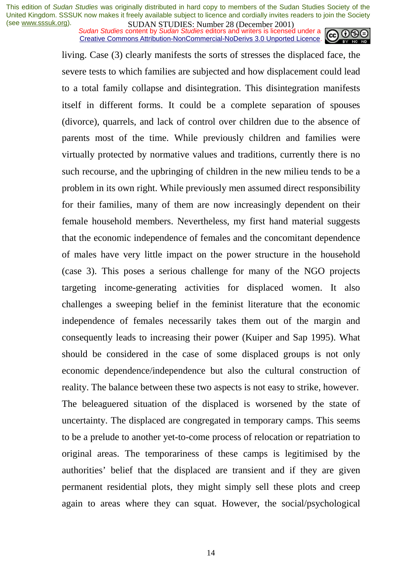*Sudan Studies* content by *Sudan Studies* editors and writers is licensed under a Creative Commons Attribution-NonCommercial-NoDerivs 3.0 Unported Licence.



living. Case (3) clearly manifests the sorts of stresses the displaced face, the severe tests to which families are subjected and how displacement could lead to a total family collapse and disintegration. This disintegration manifests itself in different forms. It could be a complete separation of spouses (divorce), quarrels, and lack of control over children due to the absence of parents most of the time. While previously children and families were virtually protected by normative values and traditions, currently there is no such recourse, and the upbringing of children in the new milieu tends to be a problem in its own right. While previously men assumed direct responsibility for their families, many of them are now increasingly dependent on their female household members. Nevertheless, my first hand material suggests that the economic independence of females and the concomitant dependence of males have very little impact on the power structure in the household (case 3). This poses a serious challenge for many of the NGO projects targeting income-generating activities for displaced women. It also challenges a sweeping belief in the feminist literature that the economic independence of females necessarily takes them out of the margin and consequently leads to increasing their power (Kuiper and Sap 1995). What should be considered in the case of some displaced groups is not only economic dependence/independence but also the cultural construction of reality. The balance between these two aspects is not easy to strike, however. The beleaguered situation of the displaced is worsened by the state of uncertainty. The displaced are congregated in temporary camps. This seems to be a prelude to another yet-to-come process of relocation or repatriation to original areas. The temporariness of these camps is legitimised by the authorities' belief that the displaced are transient and if they are given permanent residential plots, they might simply sell these plots and creep again to areas where they can squat. However, the social/psychological

14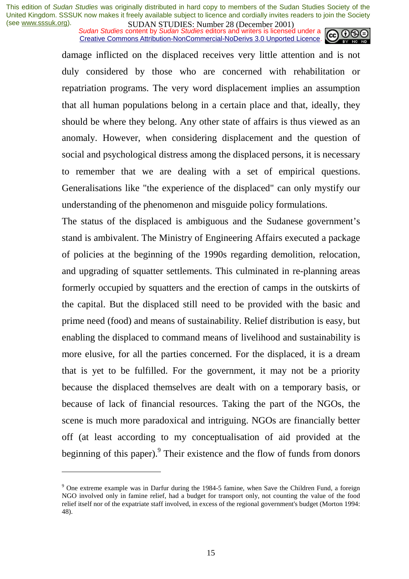*Sudan Studies* content by *Sudan Studies* editors and writers is licensed under a Creative Commons Attribution-NonCommercial-NoDerivs 3.0 Unported Licence.

damage inflicted on the displaced receives very little attention and is not duly considered by those who are concerned with rehabilitation or repatriation programs. The very word displacement implies an assumption that all human populations belong in a certain place and that, ideally, they should be where they belong. Any other state of affairs is thus viewed as an anomaly. However, when considering displacement and the question of social and psychological distress among the displaced persons, it is necessary to remember that we are dealing with a set of empirical questions. Generalisations like "the experience of the displaced" can only mystify our understanding of the phenomenon and misguide policy formulations.

The status of the displaced is ambiguous and the Sudanese government's stand is ambivalent. The Ministry of Engineering Affairs executed a package of policies at the beginning of the 1990s regarding demolition, relocation, and upgrading of squatter settlements. This culminated in re-planning areas formerly occupied by squatters and the erection of camps in the outskirts of the capital. But the displaced still need to be provided with the basic and prime need (food) and means of sustainability. Relief distribution is easy, but enabling the displaced to command means of livelihood and sustainability is more elusive, for all the parties concerned. For the displaced, it is a dream that is yet to be fulfilled. For the government, it may not be a priority because the displaced themselves are dealt with on a temporary basis, or because of lack of financial resources. Taking the part of the NGOs, the scene is much more paradoxical and intriguing. NGOs are financially better off (at least according to my conceptualisation of aid provided at the beginning of this paper). <sup>9</sup> Their existence and the flow of funds from donors

<sup>&</sup>lt;sup>9</sup> One extreme example was in Darfur during the 1984-5 famine, when Save the Children Fund, a foreign NGO involved only in famine relief, had a budget for transport only, not counting the value of the food relief itself nor of the expatriate staff involved, in excess of the regional government's budget (Morton 1994: 48).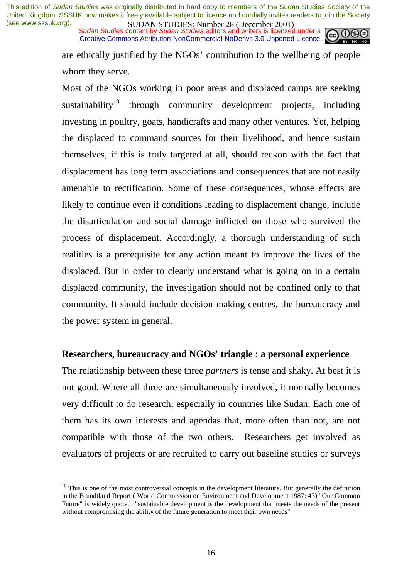*Sudan Studies* content by *Sudan Studies* editors and writers is licensed under a Creative Commons Attribution-NonCommercial-NoDerivs 3.0 Unported Licence.



are ethically justified by the NGOs' contribution to the wellbeing of people whom they serve.

Most of the NGOs working in poor areas and displaced camps are seeking sustainability<sup>10</sup> through community development projects, including investing in poultry, goats, handicrafts and many other ventures. Yet, helping the displaced to command sources for their livelihood, and hence sustain themselves, if this is truly targeted at all, should reckon with the fact that displacement has long term associations and consequences that are not easily amenable to rectification. Some of these consequences, whose effects are likely to continue even if conditions leading to displacement change, include the disarticulation and social damage inflicted on those who survived the process of displacement. Accordingly, a thorough understanding of such realities is a prerequisite for any action meant to improve the lives of the displaced. But in order to clearly understand what is going on in a certain displaced community, the investigation should not be confined only to that community. It should include decision-making centres, the bureaucracy and the power system in general.

## **Researchers, bureaucracy and NGOs' triangle : a personal experience**

The relationship between these three *partners* is tense and shaky. At best it is not good. Where all three are simultaneously involved, it normally becomes very difficult to do research; especially in countries like Sudan. Each one of them has its own interests and agendas that, more often than not, are not compatible with those of the two others. Researchers get involved as evaluators of projects or are recruited to carry out baseline studies or surveys

 $10$  This is one of the most controversial concepts in the development literature. But generally the definition in the Brundtland Report ( World Commission on Environment and Development 1987: 43) "Our Common Future" is widely quoted: "sustainable development is the development that meets the needs of the present without compromising the ability of the future generation to meet their own needs"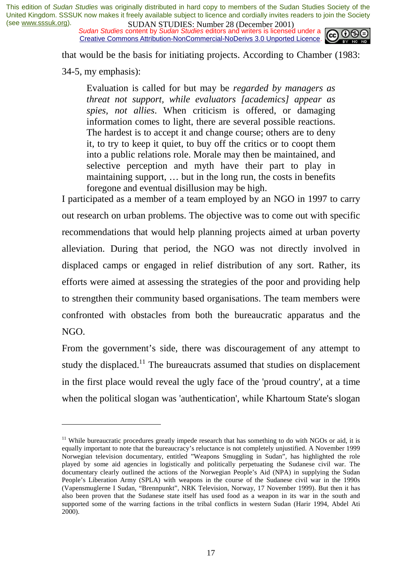*Sudan Studies* content by *Sudan Studies* editors and writers is licensed under a Creative Commons Attribution-NonCommercial-NoDerivs 3.0 Unported Licence.



that would be the basis for initiating projects. According to Chamber (1983:

34-5, my emphasis):

 $\overline{a}$ 

Evaluation is called for but may be *regarded by managers as threat not support, while evaluators [academics] appear as spies, not allies*. When criticism is offered, or damaging information comes to light, there are several possible reactions. The hardest is to accept it and change course; others are to deny it, to try to keep it quiet, to buy off the critics or to coopt them into a public relations role. Morale may then be maintained, and selective perception and myth have their part to play in maintaining support, … but in the long run, the costs in benefits foregone and eventual disillusion may be high.

I participated as a member of a team employed by an NGO in 1997 to carry out research on urban problems. The objective was to come out with specific recommendations that would help planning projects aimed at urban poverty alleviation. During that period, the NGO was not directly involved in displaced camps or engaged in relief distribution of any sort. Rather, its efforts were aimed at assessing the strategies of the poor and providing help to strengthen their community based organisations. The team members were confronted with obstacles from both the bureaucratic apparatus and the NGO.

From the government's side, there was discouragement of any attempt to study the displaced.<sup>11</sup> The bureaucrats assumed that studies on displacement in the first place would reveal the ugly face of the 'proud country', at a time when the political slogan was 'authentication', while Khartoum State's slogan

 $11$  While bureaucratic procedures greatly impede research that has something to do with NGOs or aid, it is equally important to note that the bureaucracy's reluctance is not completely unjustified. A November 1999 Norwegian television documentary, entitled "Weapons Smuggling in Sudan", has highlighted the role played by some aid agencies in logistically and politically perpetuating the Sudanese civil war. The documentary clearly outlined the actions of the Norwegian People's Aid (NPA) in supplying the Sudan People's Liberation Army (SPLA) with weapons in the course of the Sudanese civil war in the 1990s (Vapensmuglerne I Sudan, "Brennpunkt", NRK Television, Norway, 17 November 1999). But then it has also been proven that the Sudanese state itself has used food as a weapon in its war in the south and supported some of the warring factions in the tribal conflicts in western Sudan (Harir 1994, Abdel Ati 2000).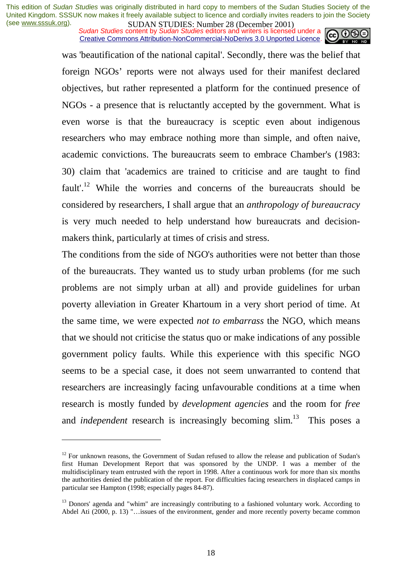*Sudan Studies* content by *Sudan Studies* editors and writers is licensed under a Creative Commons Attribution-NonCommercial-NoDerivs 3.0 Unported Licence.



was 'beautification of the national capital'. Secondly, there was the belief that foreign NGOs' reports were not always used for their manifest declared objectives, but rather represented a platform for the continued presence of NGOs - a presence that is reluctantly accepted by the government. What is even worse is that the bureaucracy is sceptic even about indigenous researchers who may embrace nothing more than simple, and often naive, academic convictions. The bureaucrats seem to embrace Chamber's (1983: 30) claim that 'academics are trained to criticise and are taught to find fault<sup>''</sup>.<sup>12</sup> While the worries and concerns of the bureaucrats should be considered by researchers, I shall argue that an *anthropology of bureaucracy* is very much needed to help understand how bureaucrats and decisionmakers think, particularly at times of crisis and stress.

The conditions from the side of NGO's authorities were not better than those of the bureaucrats. They wanted us to study urban problems (for me such problems are not simply urban at all) and provide guidelines for urban poverty alleviation in Greater Khartoum in a very short period of time. At the same time, we were expected *not to embarrass* the NGO, which means that we should not criticise the status quo or make indications of any possible government policy faults. While this experience with this specific NGO seems to be a special case, it does not seem unwarranted to contend that researchers are increasingly facing unfavourable conditions at a time when research is mostly funded by *development agencies* and the room for *free* and *independent* research is increasingly becoming slim.<sup>13</sup> This poses a

 $12$  For unknown reasons, the Government of Sudan refused to allow the release and publication of Sudan's first Human Development Report that was sponsored by the UNDP. I was a member of the multidisciplinary team entrusted with the report in 1998. After a continuous work for more than six months the authorities denied the publication of the report. For difficulties facing researchers in displaced camps in particular see Hampton (1998; especially pages 84-87).

<sup>&</sup>lt;sup>13</sup> Donors' agenda and "whim" are increasingly contributing to a fashioned voluntary work. According to Abdel Ati (2000, p. 13) "…issues of the environment, gender and more recently poverty became common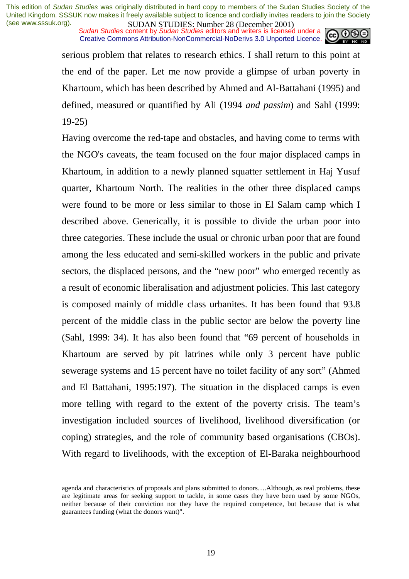*Sudan Studies* content by *Sudan Studies* editors and writers is licensed under a Creative Commons Attribution-NonCommercial-NoDerivs 3.0 Unported Licence.



serious problem that relates to research ethics. I shall return to this point at the end of the paper. Let me now provide a glimpse of urban poverty in Khartoum, which has been described by Ahmed and Al-Battahani (1995) and defined, measured or quantified by Ali (1994 *and passim*) and Sahl (1999: 19-25)

Having overcome the red-tape and obstacles, and having come to terms with the NGO's caveats, the team focused on the four major displaced camps in Khartoum, in addition to a newly planned squatter settlement in Haj Yusuf quarter, Khartoum North. The realities in the other three displaced camps were found to be more or less similar to those in El Salam camp which I described above. Generically, it is possible to divide the urban poor into three categories. These include the usual or chronic urban poor that are found among the less educated and semi-skilled workers in the public and private sectors, the displaced persons, and the "new poor" who emerged recently as a result of economic liberalisation and adjustment policies. This last category is composed mainly of middle class urbanites. It has been found that 93.8 percent of the middle class in the public sector are below the poverty line (Sahl, 1999: 34). It has also been found that "69 percent of households in Khartoum are served by pit latrines while only 3 percent have public sewerage systems and 15 percent have no toilet facility of any sort" (Ahmed and El Battahani, 1995:197). The situation in the displaced camps is even more telling with regard to the extent of the poverty crisis. The team's investigation included sources of livelihood, livelihood diversification (or coping) strategies, and the role of community based organisations (CBOs). With regard to livelihoods, with the exception of El-Baraka neighbourhood

agenda and characteristics of proposals and plans submitted to donors….Although, as real problems, these are legitimate areas for seeking support to tackle, in some cases they have been used by some NGOs, neither because of their conviction nor they have the required competence, but because that is what guarantees funding (what the donors want)".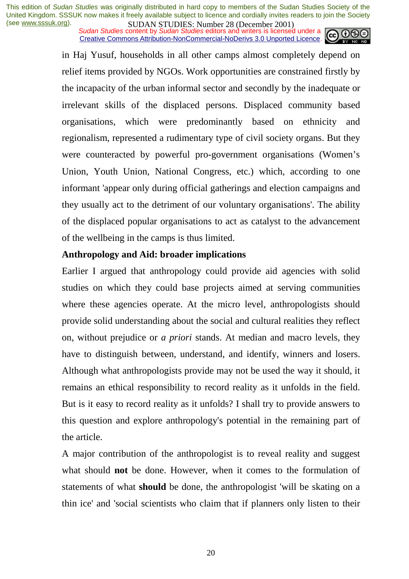*Sudan Studies* content by *Sudan Studies* editors and writers is licensed under a Creative Commons Attribution-NonCommercial-NoDerivs 3.0 Unported Licence.



in Haj Yusuf, households in all other camps almost completely depend on relief items provided by NGOs. Work opportunities are constrained firstly by the incapacity of the urban informal sector and secondly by the inadequate or irrelevant skills of the displaced persons. Displaced community based organisations, which were predominantly based on ethnicity and regionalism, represented a rudimentary type of civil society organs. But they were counteracted by powerful pro-government organisations (Women's Union, Youth Union, National Congress, etc.) which, according to one informant 'appear only during official gatherings and election campaigns and they usually act to the detriment of our voluntary organisations'. The ability of the displaced popular organisations to act as catalyst to the advancement of the wellbeing in the camps is thus limited.

## **Anthropology and Aid: broader implications**

Earlier I argued that anthropology could provide aid agencies with solid studies on which they could base projects aimed at serving communities where these agencies operate. At the micro level, anthropologists should provide solid understanding about the social and cultural realities they reflect on, without prejudice or *a priori* stands. At median and macro levels, they have to distinguish between, understand, and identify, winners and losers. Although what anthropologists provide may not be used the way it should, it remains an ethical responsibility to record reality as it unfolds in the field. But is it easy to record reality as it unfolds? I shall try to provide answers to this question and explore anthropology's potential in the remaining part of the article.

A major contribution of the anthropologist is to reveal reality and suggest what should **not** be done. However, when it comes to the formulation of statements of what **should** be done, the anthropologist 'will be skating on a thin ice' and 'social scientists who claim that if planners only listen to their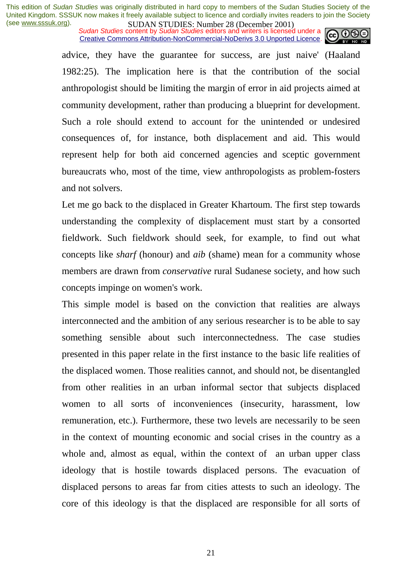*Sudan Studies* content by *Sudan Studies* editors and writers is licensed under a Creative Commons Attribution-NonCommercial-NoDerivs 3.0 Unported Licence.



advice, they have the guarantee for success, are just naive' (Haaland 1982:25). The implication here is that the contribution of the social anthropologist should be limiting the margin of error in aid projects aimed at community development, rather than producing a blueprint for development. Such a role should extend to account for the unintended or undesired consequences of, for instance, both displacement and aid. This would represent help for both aid concerned agencies and sceptic government bureaucrats who, most of the time, view anthropologists as problem-fosters and not solvers.

Let me go back to the displaced in Greater Khartoum. The first step towards understanding the complexity of displacement must start by a consorted fieldwork. Such fieldwork should seek, for example, to find out what concepts like *sharf* (honour) and *aib* (shame) mean for a community whose members are drawn from *conservative* rural Sudanese society, and how such concepts impinge on women's work.

This simple model is based on the conviction that realities are always interconnected and the ambition of any serious researcher is to be able to say something sensible about such interconnectedness. The case studies presented in this paper relate in the first instance to the basic life realities of the displaced women. Those realities cannot, and should not, be disentangled from other realities in an urban informal sector that subjects displaced women to all sorts of inconveniences (insecurity, harassment, low remuneration, etc.). Furthermore, these two levels are necessarily to be seen in the context of mounting economic and social crises in the country as a whole and, almost as equal, within the context of an urban upper class ideology that is hostile towards displaced persons. The evacuation of displaced persons to areas far from cities attests to such an ideology. The core of this ideology is that the displaced are responsible for all sorts of

21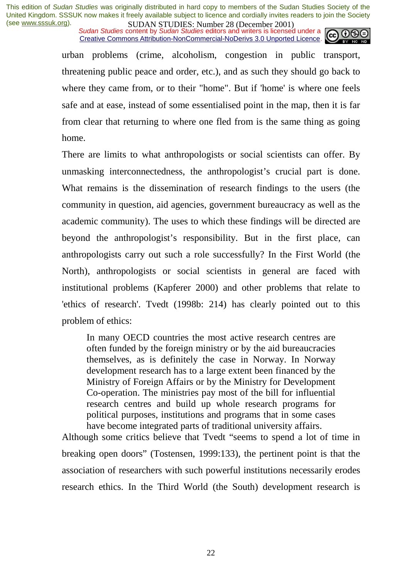*Sudan Studies* content by *Sudan Studies* editors and writers is licensed under a Creative Commons Attribution-NonCommercial-NoDerivs 3.0 Unported Licence.



urban problems (crime, alcoholism, congestion in public transport, threatening public peace and order, etc.), and as such they should go back to where they came from, or to their "home". But if 'home' is where one feels safe and at ease, instead of some essentialised point in the map, then it is far from clear that returning to where one fled from is the same thing as going home.

There are limits to what anthropologists or social scientists can offer. By unmasking interconnectedness, the anthropologist's crucial part is done. What remains is the dissemination of research findings to the users (the community in question, aid agencies, government bureaucracy as well as the academic community). The uses to which these findings will be directed are beyond the anthropologist's responsibility. But in the first place, can anthropologists carry out such a role successfully? In the First World (the North), anthropologists or social scientists in general are faced with institutional problems (Kapferer 2000) and other problems that relate to 'ethics of research'. Tvedt (1998b: 214) has clearly pointed out to this problem of ethics:

In many OECD countries the most active research centres are often funded by the foreign ministry or by the aid bureaucracies themselves, as is definitely the case in Norway. In Norway development research has to a large extent been financed by the Ministry of Foreign Affairs or by the Ministry for Development Co-operation. The ministries pay most of the bill for influential research centres and build up whole research programs for political purposes, institutions and programs that in some cases have become integrated parts of traditional university affairs.

Although some critics believe that Tvedt "seems to spend a lot of time in breaking open doors" (Tostensen, 1999:133), the pertinent point is that the association of researchers with such powerful institutions necessarily erodes research ethics. In the Third World (the South) development research is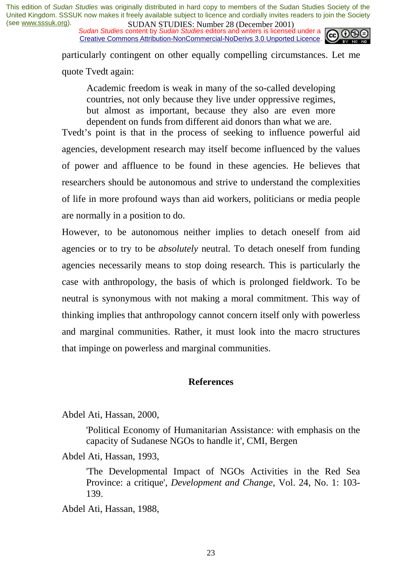*Sudan Studies* content by *Sudan Studies* editors and writers is licensed under a Creative Commons Attribution-NonCommercial-NoDerivs 3.0 Unported Licence.



particularly contingent on other equally compelling circumstances. Let me quote Tvedt again:

Academic freedom is weak in many of the so-called developing countries, not only because they live under oppressive regimes, but almost as important, because they also are even more dependent on funds from different aid donors than what we are.

Tvedt's point is that in the process of seeking to influence powerful aid agencies, development research may itself become influenced by the values of power and affluence to be found in these agencies. He believes that researchers should be autonomous and strive to understand the complexities of life in more profound ways than aid workers, politicians or media people are normally in a position to do.

However, to be autonomous neither implies to detach oneself from aid agencies or to try to be *absolutely* neutral. To detach oneself from funding agencies necessarily means to stop doing research. This is particularly the case with anthropology, the basis of which is prolonged fieldwork. To be neutral is synonymous with not making a moral commitment. This way of thinking implies that anthropology cannot concern itself only with powerless and marginal communities. Rather, it must look into the macro structures that impinge on powerless and marginal communities.

#### **References**

Abdel Ati, Hassan, 2000,

'Political Economy of Humanitarian Assistance: with emphasis on the capacity of Sudanese NGOs to handle it', CMI, Bergen

Abdel Ati, Hassan, 1993,

'The Developmental Impact of NGOs Activities in the Red Sea Province: a critique', *Development and Change*, Vol. 24, No. 1: 103- 139.

Abdel Ati, Hassan, 1988,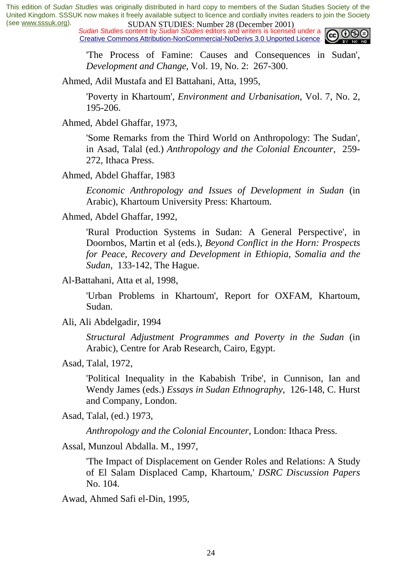*Sudan Studies* content by *Sudan Studies* editors and writers is licensed under a Creative Commons Attribution-NonCommercial-NoDerivs 3.0 Unported Licence.



'The Process of Famine: Causes and Consequences in Sudan', *Development and Change*, Vol. 19, No. 2: 267-300.

Ahmed, Adil Mustafa and El Battahani, Atta, 1995,

'Poverty in Khartoum', *Environment and Urbanisation*, Vol. 7, No. 2, 195-206.

Ahmed, Abdel Ghaffar, 1973,

'Some Remarks from the Third World on Anthropology: The Sudan', in Asad, Talal (ed.) *Anthropology and the Colonial Encounter*, 259- 272, Ithaca Press.

Ahmed, Abdel Ghaffar, 1983

*Economic Anthropology and Issues of Development in Sudan* (in Arabic), Khartoum University Press: Khartoum.

Ahmed, Abdel Ghaffar, 1992,

'Rural Production Systems in Sudan: A General Perspective', in Doornbos, Martin et al (eds.), *Beyond Conflict in the Horn: Prospects for Peace, Recovery and Development in Ethiopia, Somalia and the Sudan*, 133-142, The Hague.

Al-Battahani, Atta et al, 1998,

'Urban Problems in Khartoum', Report for OXFAM, Khartoum, Sudan.

Ali, Ali Abdelgadir, 1994

*Structural Adjustment Programmes and Poverty in the Sudan* (in Arabic), Centre for Arab Research, Cairo, Egypt.

Asad, Talal, 1972,

'Political Inequality in the Kababish Tribe', in Cunnison, Ian and Wendy James (eds.) *Essays in Sudan Ethnography*, 126-148, C. Hurst and Company, London.

Asad, Talal, (ed.) 1973,

*Anthropology and the Colonial Encounter*, London: Ithaca Press.

Assal, Munzoul Abdalla. M., 1997,

'The Impact of Displacement on Gender Roles and Relations: A Study of El Salam Displaced Camp, Khartoum,' *DSRC Discussion Papers* No. 104.

Awad, Ahmed Safi el-Din, 1995,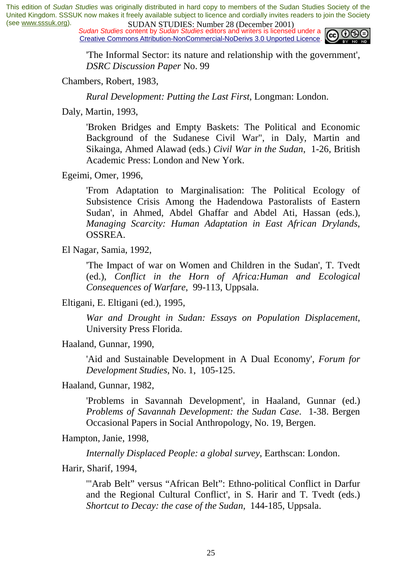*Sudan Studies* content by *Sudan Studies* editors and writers is licensed under a Creative Commons Attribution-NonCommercial-NoDerivs 3.0 Unported Licence.



'The Informal Sector: its nature and relationship with the government', *DSRC Discussion Paper* No. 99

Chambers, Robert, 1983,

*Rural Development: Putting the Last First*, Longman: London.

Daly, Martin, 1993,

'Broken Bridges and Empty Baskets: The Political and Economic Background of the Sudanese Civil War", in Daly, Martin and Sikainga, Ahmed Alawad (eds.) *Civil War in the Sudan*, 1-26, British Academic Press: London and New York.

Egeimi, Omer, 1996,

'From Adaptation to Marginalisation: The Political Ecology of Subsistence Crisis Among the Hadendowa Pastoralists of Eastern Sudan', in Ahmed, Abdel Ghaffar and Abdel Ati, Hassan (eds.), *Managing Scarcity: Human Adaptation in East African Drylands*, OSSREA.

El Nagar, Samia, 1992,

'The Impact of war on Women and Children in the Sudan', T. Tvedt (ed.), *Conflict in the Horn of Africa:Human and Ecological Consequences of Warfare*, 99-113, Uppsala.

Eltigani, E. Eltigani (ed.), 1995,

*War and Drought in Sudan: Essays on Population Displacement*, University Press Florida.

Haaland, Gunnar, 1990,

'Aid and Sustainable Development in A Dual Economy', *Forum for Development Studies*, No. 1, 105-125.

Haaland, Gunnar, 1982,

'Problems in Savannah Development', in Haaland, Gunnar (ed.) *Problems of Savannah Development: the Sudan Case*. 1-38. Bergen Occasional Papers in Social Anthropology, No. 19, Bergen.

Hampton, Janie, 1998,

*Internally Displaced People: a global survey*, Earthscan: London.

Harir, Sharif, 1994,

'"Arab Belt" versus "African Belt": Ethno-political Conflict in Darfur and the Regional Cultural Conflict', in S. Harir and T. Tvedt (eds.) *Shortcut to Decay: the case of the Sudan*, 144-185, Uppsala.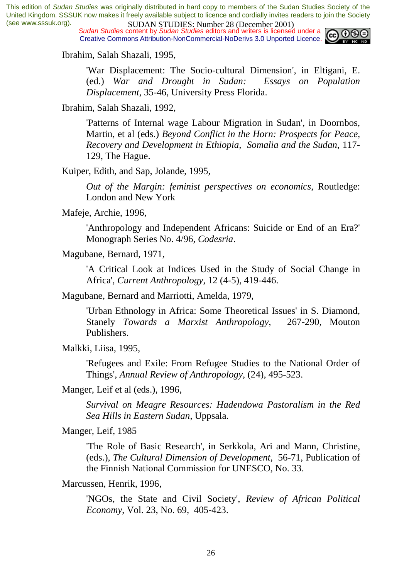*Sudan Studies* content by *Sudan Studies* editors and writers is licensed under a Creative Commons Attribution-NonCommercial-NoDerivs 3.0 Unported Licence.



Ibrahim, Salah Shazali, 1995,

'War Displacement: The Socio-cultural Dimension', in Eltigani, E. (ed.) *War and Drought in Sudan: Essays on Population Displacement*, 35-46, University Press Florida.

Ibrahim, Salah Shazali, 1992,

'Patterns of Internal wage Labour Migration in Sudan', in Doornbos, Martin, et al (eds.) *Beyond Conflict in the Horn: Prospects for Peace, Recovery and Development in Ethiopia, Somalia and the Sudan*, 117- 129, The Hague.

Kuiper, Edith, and Sap, Jolande, 1995,

*Out of the Margin: feminist perspectives on economics*, Routledge: London and New York

Mafeje, Archie, 1996,

'Anthropology and Independent Africans: Suicide or End of an Era?' Monograph Series No. 4/96, *Codesria*.

Magubane, Bernard, 1971,

'A Critical Look at Indices Used in the Study of Social Change in Africa', *Current Anthropology*, 12 (4-5), 419-446.

Magubane, Bernard and Marriotti, Amelda, 1979,

'Urban Ethnology in Africa: Some Theoretical Issues' in S. Diamond, Stanely *Towards a Marxist Anthropology*, 267-290, Mouton Publishers.

Malkki, Liisa, 1995,

'Refugees and Exile: From Refugee Studies to the National Order of Things', *Annual Review of Anthropology*, (24), 495-523.

Manger, Leif et al (eds.), 1996,

*Survival on Meagre Resources: Hadendowa Pastoralism in the Red Sea Hills in Eastern Sudan*, Uppsala.

Manger, Leif, 1985

'The Role of Basic Research', in Serkkola, Ari and Mann, Christine, (eds.), *The Cultural Dimension of Development*, 56-71, Publication of the Finnish National Commission for UNESCO, No. 33.

Marcussen, Henrik, 1996,

'NGOs, the State and Civil Society', *Review of African Political Economy*, Vol. 23, No. 69, 405-423.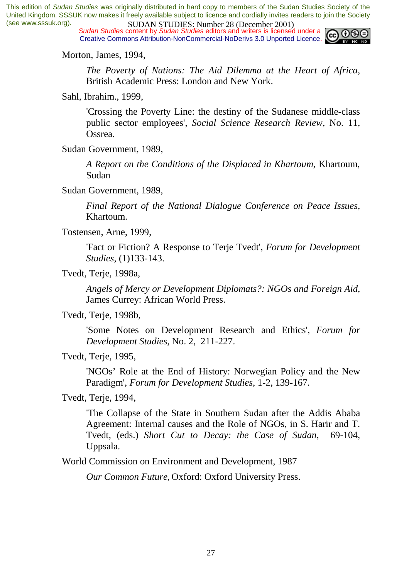*Sudan Studies* content by *Sudan Studies* editors and writers is licensed under a Creative Commons Attribution-NonCommercial-NoDerivs 3.0 Unported Licence.



Morton, James, 1994,

*The Poverty of Nations: The Aid Dilemma at the Heart of Africa*, British Academic Press: London and New York.

Sahl, Ibrahim., 1999,

'Crossing the Poverty Line: the destiny of the Sudanese middle-class public sector employees', *Social Science Research Review*, No. 11, Ossrea.

Sudan Government, 1989,

*A Report on the Conditions of the Displaced in Khartoum,* Khartoum, Sudan

Sudan Government, 1989,

*Final Report of the National Dialogue Conference on Peace Issues*, Khartoum.

Tostensen, Arne, 1999,

'Fact or Fiction? A Response to Terje Tvedt', *Forum for Development Studies*, (1)133-143.

Tvedt, Terje, 1998a,

*Angels of Mercy or Development Diplomats?: NGOs and Foreign Aid*, James Currey: African World Press.

Tvedt, Terje, 1998b,

'Some Notes on Development Research and Ethics', *Forum for Development Studies*, No. 2, 211-227.

Tvedt, Terje, 1995,

'NGOs' Role at the End of History: Norwegian Policy and the New Paradigm', *Forum for Development Studies*, 1-2, 139-167.

Tvedt, Terje, 1994,

'The Collapse of the State in Southern Sudan after the Addis Ababa Agreement: Internal causes and the Role of NGOs, in S. Harir and T. Tvedt, (eds.) *Short Cut to Decay: the Case of Sudan*, 69-104, Uppsala.

World Commission on Environment and Development, 1987

*Our Common Future*, Oxford: Oxford University Press.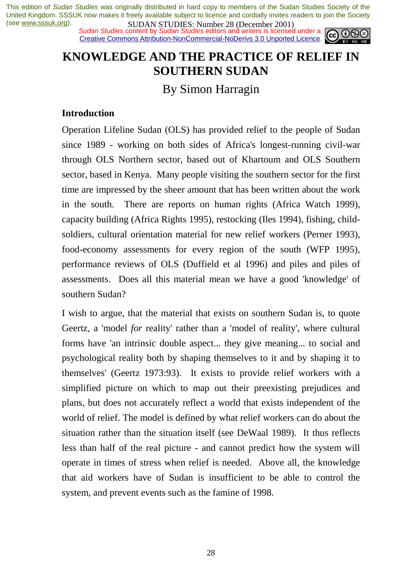*Sudan Studies* content by *Sudan Studies* editors and writers is licensed under a Creative Commons Attribution-NonCommercial-NoDerivs 3.0 Unported Licence.



# **KNOWLEDGE AND THE PRACTICE OF RELIEF IN SOUTHERN SUDAN**

By Simon Harragin

## **Introduction**

Operation Lifeline Sudan (OLS) has provided relief to the people of Sudan since 1989 - working on both sides of Africa's longest-running civil-war through OLS Northern sector, based out of Khartoum and OLS Southern sector, based in Kenya. Many people visiting the southern sector for the first time are impressed by the sheer amount that has been written about the work in the south. There are reports on human rights (Africa Watch 1999), capacity building (Africa Rights 1995), restocking (Iles 1994), fishing, childsoldiers, cultural orientation material for new relief workers (Perner 1993), food-economy assessments for every region of the south (WFP 1995), performance reviews of OLS (Duffield et al 1996) and piles and piles of assessments. Does all this material mean we have a good 'knowledge' of southern Sudan?

I wish to argue, that the material that exists on southern Sudan is, to quote Geertz, a 'model *for* reality' rather than a 'model of reality', where cultural forms have 'an intrinsic double aspect... they give meaning... to social and psychological reality both by shaping themselves to it and by shaping it to themselves' (Geertz 1973:93). It exists to provide relief workers with a simplified picture on which to map out their preexisting prejudices and plans, but does not accurately reflect a world that exists independent of the world of relief. The model is defined by what relief workers can do about the situation rather than the situation itself (see DeWaal 1989). It thus reflects less than half of the real picture - and cannot predict how the system will operate in times of stress when relief is needed. Above all, the knowledge that aid workers have of Sudan is insufficient to be able to control the system, and prevent events such as the famine of 1998.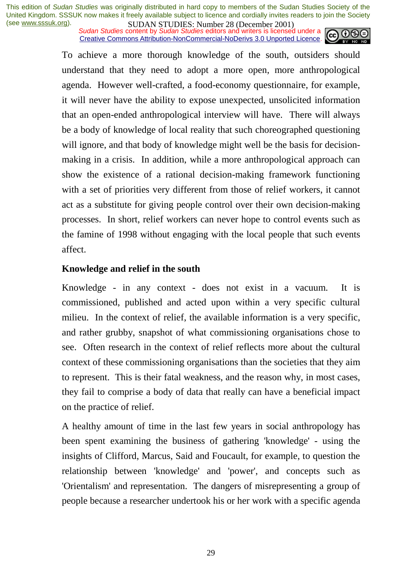*Sudan Studies* content by *Sudan Studies* editors and writers is licensed under a Creative Commons Attribution-NonCommercial-NoDerivs 3.0 Unported Licence.



To achieve a more thorough knowledge of the south, outsiders should understand that they need to adopt a more open, more anthropological agenda. However well-crafted, a food-economy questionnaire, for example, it will never have the ability to expose unexpected, unsolicited information that an open-ended anthropological interview will have. There will always be a body of knowledge of local reality that such choreographed questioning will ignore, and that body of knowledge might well be the basis for decisionmaking in a crisis. In addition, while a more anthropological approach can show the existence of a rational decision-making framework functioning with a set of priorities very different from those of relief workers, it cannot act as a substitute for giving people control over their own decision-making processes. In short, relief workers can never hope to control events such as the famine of 1998 without engaging with the local people that such events affect.

## **Knowledge and relief in the south**

Knowledge - in any context - does not exist in a vacuum. It is commissioned, published and acted upon within a very specific cultural milieu. In the context of relief, the available information is a very specific, and rather grubby, snapshot of what commissioning organisations chose to see. Often research in the context of relief reflects more about the cultural context of these commissioning organisations than the societies that they aim to represent. This is their fatal weakness, and the reason why, in most cases, they fail to comprise a body of data that really can have a beneficial impact on the practice of relief.

A healthy amount of time in the last few years in social anthropology has been spent examining the business of gathering 'knowledge' - using the insights of Clifford, Marcus, Said and Foucault, for example, to question the relationship between 'knowledge' and 'power', and concepts such as 'Orientalism' and representation. The dangers of misrepresenting a group of people because a researcher undertook his or her work with a specific agenda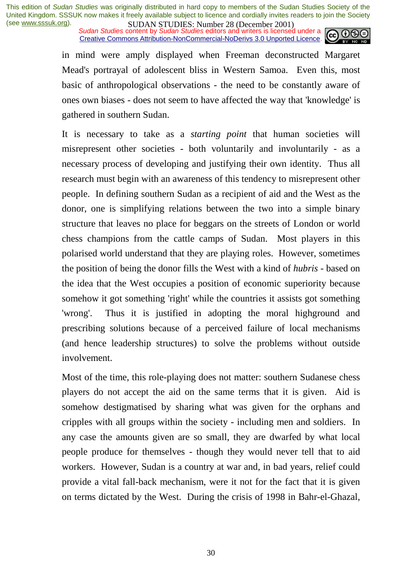*Sudan Studies* content by *Sudan Studies* editors and writers is licensed under a Creative Commons Attribution-NonCommercial-NoDerivs 3.0 Unported Licence.



in mind were amply displayed when Freeman deconstructed Margaret Mead's portrayal of adolescent bliss in Western Samoa. Even this, most basic of anthropological observations - the need to be constantly aware of ones own biases - does not seem to have affected the way that 'knowledge' is gathered in southern Sudan.

It is necessary to take as a *starting point* that human societies will misrepresent other societies - both voluntarily and involuntarily - as a necessary process of developing and justifying their own identity. Thus all research must begin with an awareness of this tendency to misrepresent other people. In defining southern Sudan as a recipient of aid and the West as the donor, one is simplifying relations between the two into a simple binary structure that leaves no place for beggars on the streets of London or world chess champions from the cattle camps of Sudan. Most players in this polarised world understand that they are playing roles. However, sometimes the position of being the donor fills the West with a kind of *hubris -* based on the idea that the West occupies a position of economic superiority because somehow it got something 'right' while the countries it assists got something 'wrong'. Thus it is justified in adopting the moral highground and prescribing solutions because of a perceived failure of local mechanisms (and hence leadership structures) to solve the problems without outside involvement.

Most of the time, this role-playing does not matter: southern Sudanese chess players do not accept the aid on the same terms that it is given. Aid is somehow destigmatised by sharing what was given for the orphans and cripples with all groups within the society - including men and soldiers. In any case the amounts given are so small, they are dwarfed by what local people produce for themselves - though they would never tell that to aid workers. However, Sudan is a country at war and, in bad years, relief could provide a vital fall-back mechanism, were it not for the fact that it is given on terms dictated by the West. During the crisis of 1998 in Bahr-el-Ghazal,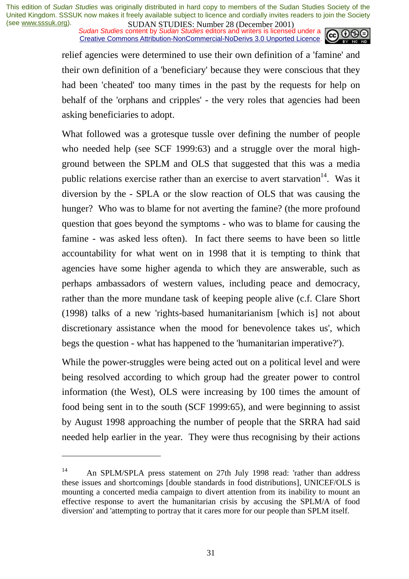*Sudan Studies* content by *Sudan Studies* editors and writers is licensed under a Creative Commons Attribution-NonCommercial-NoDerivs 3.0 Unported Licence.



relief agencies were determined to use their own definition of a 'famine' and their own definition of a 'beneficiary' because they were conscious that they had been 'cheated' too many times in the past by the requests for help on behalf of the 'orphans and cripples' - the very roles that agencies had been asking beneficiaries to adopt.

What followed was a grotesque tussle over defining the number of people who needed help (see SCF 1999:63) and a struggle over the moral highground between the SPLM and OLS that suggested that this was a media public relations exercise rather than an exercise to avert starvation<sup>14</sup>. Was it diversion by the - SPLA or the slow reaction of OLS that was causing the hunger? Who was to blame for not averting the famine? (the more profound question that goes beyond the symptoms - who was to blame for causing the famine - was asked less often). In fact there seems to have been so little accountability for what went on in 1998 that it is tempting to think that agencies have some higher agenda to which they are answerable, such as perhaps ambassadors of western values, including peace and democracy, rather than the more mundane task of keeping people alive (c.f. Clare Short (1998) talks of a new 'rights-based humanitarianism [which is] not about discretionary assistance when the mood for benevolence takes us', which begs the question - what has happened to the 'humanitarian imperative?').

While the power-struggles were being acted out on a political level and were being resolved according to which group had the greater power to control information (the West), OLS were increasing by 100 times the amount of food being sent in to the south (SCF 1999:65), and were beginning to assist by August 1998 approaching the number of people that the SRRA had said needed help earlier in the year. They were thus recognising by their actions

<sup>14</sup> An SPLM/SPLA press statement on 27th July 1998 read: 'rather than address these issues and shortcomings [double standards in food distributions], UNICEF/OLS is mounting a concerted media campaign to divert attention from its inability to mount an effective response to avert the humanitarian crisis by accusing the SPLM/A of food diversion' and 'attempting to portray that it cares more for our people than SPLM itself.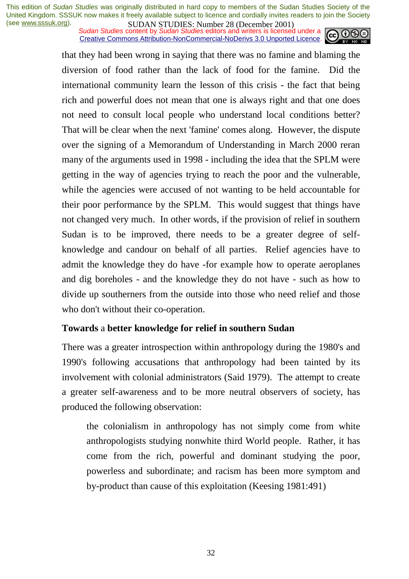*Sudan Studies* content by *Sudan Studies* editors and writers is licensed under a Creative Commons Attribution-NonCommercial-NoDerivs 3.0 Unported Licence.



that they had been wrong in saying that there was no famine and blaming the diversion of food rather than the lack of food for the famine. Did the international community learn the lesson of this crisis - the fact that being rich and powerful does not mean that one is always right and that one does not need to consult local people who understand local conditions better? That will be clear when the next 'famine' comes along. However, the dispute over the signing of a Memorandum of Understanding in March 2000 reran many of the arguments used in 1998 - including the idea that the SPLM were getting in the way of agencies trying to reach the poor and the vulnerable, while the agencies were accused of not wanting to be held accountable for their poor performance by the SPLM. This would suggest that things have not changed very much. In other words, if the provision of relief in southern Sudan is to be improved, there needs to be a greater degree of selfknowledge and candour on behalf of all parties. Relief agencies have to admit the knowledge they do have -for example how to operate aeroplanes and dig boreholes - and the knowledge they do not have - such as how to divide up southerners from the outside into those who need relief and those who don't without their co-operation.

## **Towards** a **better knowledge for relief in southern Sudan**

There was a greater introspection within anthropology during the 1980's and 1990's following accusations that anthropology had been tainted by its involvement with colonial administrators (Said 1979). The attempt to create a greater self-awareness and to be more neutral observers of society, has produced the following observation:

the colonialism in anthropology has not simply come from white anthropologists studying nonwhite third World people. Rather, it has come from the rich, powerful and dominant studying the poor, powerless and subordinate; and racism has been more symptom and by-product than cause of this exploitation (Keesing 1981:491)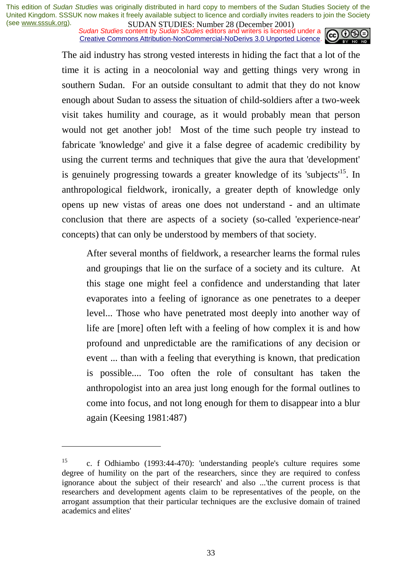*Sudan Studies* content by *Sudan Studies* editors and writers is licensed under a Creative Commons Attribution-NonCommercial-NoDerivs 3.0 Unported Licence.



The aid industry has strong vested interests in hiding the fact that a lot of the time it is acting in a neocolonial way and getting things very wrong in southern Sudan. For an outside consultant to admit that they do not know enough about Sudan to assess the situation of child-soldiers after a two-week visit takes humility and courage, as it would probably mean that person would not get another job! Most of the time such people try instead to fabricate 'knowledge' and give it a false degree of academic credibility by using the current terms and techniques that give the aura that 'development' is genuinely progressing towards a greater knowledge of its 'subjects'<sup>15</sup>. In anthropological fieldwork, ironically, a greater depth of knowledge only opens up new vistas of areas one does not understand - and an ultimate conclusion that there are aspects of a society (so-called 'experience-near' concepts) that can only be understood by members of that society.

After several months of fieldwork, a researcher learns the formal rules and groupings that lie on the surface of a society and its culture. At this stage one might feel a confidence and understanding that later evaporates into a feeling of ignorance as one penetrates to a deeper level... Those who have penetrated most deeply into another way of life are [more] often left with a feeling of how complex it is and how profound and unpredictable are the ramifications of any decision or event ... than with a feeling that everything is known, that predication is possible.... Too often the role of consultant has taken the anthropologist into an area just long enough for the formal outlines to come into focus, and not long enough for them to disappear into a blur again (Keesing 1981:487)

<sup>15</sup> c. f Odhiambo (1993:44-470): 'understanding people's culture requires some degree of humility on the part of the researchers, since they are required to confess ignorance about the subject of their research' and also ...'the current process is that researchers and development agents claim to be representatives of the people, on the arrogant assumption that their particular techniques are the exclusive domain of trained academics and elites'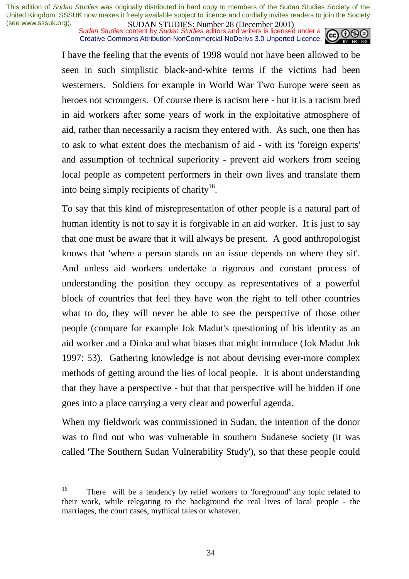*Sudan Studies* content by *Sudan Studies* editors and writers is licensed under a Creative Commons Attribution-NonCommercial-NoDerivs 3.0 Unported Licence.



I have the feeling that the events of 1998 would not have been allowed to be seen in such simplistic black-and-white terms if the victims had been westerners. Soldiers for example in World War Two Europe were seen as heroes not scroungers. Of course there is racism here - but it is a racism bred in aid workers after some years of work in the exploitative atmosphere of aid, rather than necessarily a racism they entered with. As such, one then has to ask to what extent does the mechanism of aid - with its 'foreign experts' and assumption of technical superiority - prevent aid workers from seeing local people as competent performers in their own lives and translate them into being simply recipients of charity<sup>16</sup>.

To say that this kind of misrepresentation of other people is a natural part of human identity is not to say it is forgivable in an aid worker. It is just to say that one must be aware that it will always be present. A good anthropologist knows that 'where a person stands on an issue depends on where they sit'. And unless aid workers undertake a rigorous and constant process of understanding the position they occupy as representatives of a powerful block of countries that feel they have won the right to tell other countries what to do, they will never be able to see the perspective of those other people (compare for example Jok Madut's questioning of his identity as an aid worker and a Dinka and what biases that might introduce (Jok Madut Jok 1997: 53). Gathering knowledge is not about devising ever-more complex methods of getting around the lies of local people. It is about understanding that they have a perspective - but that that perspective will be hidden if one goes into a place carrying a very clear and powerful agenda.

When my fieldwork was commissioned in Sudan, the intention of the donor was to find out who was vulnerable in southern Sudanese society (it was called 'The Southern Sudan Vulnerability Study'), so that these people could

<sup>&</sup>lt;sup>16</sup> There will be a tendency by relief workers to 'foreground' any topic related to their work, while relegating to the background the real lives of local people - the marriages, the court cases, mythical tales or whatever.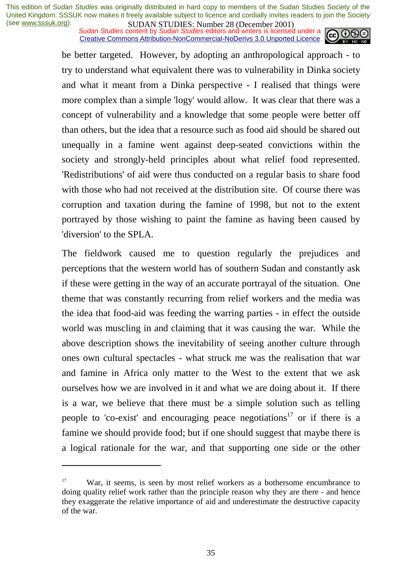*Sudan Studies* content by *Sudan Studies* editors and writers is licensed under a Creative Commons Attribution-NonCommercial-NoDerivs 3.0 Unported Licence.



be better targeted. However, by adopting an anthropological approach - to try to understand what equivalent there was to vulnerability in Dinka society and what it meant from a Dinka perspective - I realised that things were more complex than a simple 'logy' would allow. It was clear that there was a concept of vulnerability and a knowledge that some people were better off than others, but the idea that a resource such as food aid should be shared out unequally in a famine went against deep-seated convictions within the society and strongly-held principles about what relief food represented. 'Redistributions' of aid were thus conducted on a regular basis to share food with those who had not received at the distribution site. Of course there was corruption and taxation during the famine of 1998, but not to the extent portrayed by those wishing to paint the famine as having been caused by 'diversion' to the SPLA.

The fieldwork caused me to question regularly the prejudices and perceptions that the western world has of southern Sudan and constantly ask if these were getting in the way of an accurate portrayal of the situation. One theme that was constantly recurring from relief workers and the media was the idea that food-aid was feeding the warring parties - in effect the outside world was muscling in and claiming that it was causing the war. While the above description shows the inevitability of seeing another culture through ones own cultural spectacles - what struck me was the realisation that war and famine in Africa only matter to the West to the extent that we ask ourselves how we are involved in it and what we are doing about it. If there is a war, we believe that there must be a simple solution such as telling people to 'co-exist' and encouraging peace negotiations<sup>17</sup> or if there is a famine we should provide food; but if one should suggest that maybe there is a logical rationale for the war, and that supporting one side or the other

<sup>&</sup>lt;sup>17</sup> War, it seems, is seen by most relief workers as a bothersome encumbrance to doing quality relief work rather than the principle reason why they are there - and hence they exaggerate the relative importance of aid and underestimate the destructive capacity of the war.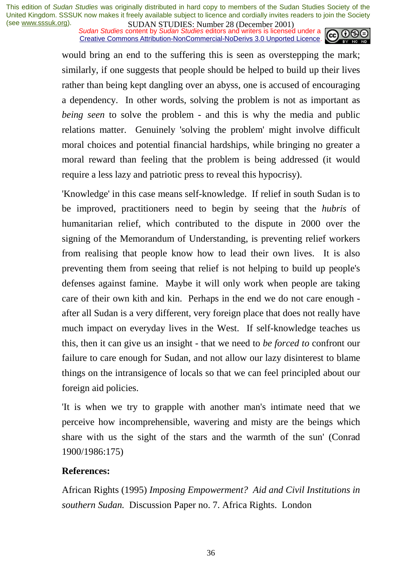*Sudan Studies* content by *Sudan Studies* editors and writers is licensed under a Creative Commons Attribution-NonCommercial-NoDerivs 3.0 Unported Licence.



would bring an end to the suffering this is seen as overstepping the mark; similarly, if one suggests that people should be helped to build up their lives rather than being kept dangling over an abyss, one is accused of encouraging a dependency. In other words, solving the problem is not as important as *being seen* to solve the problem - and this is why the media and public relations matter. Genuinely 'solving the problem' might involve difficult moral choices and potential financial hardships, while bringing no greater a moral reward than feeling that the problem is being addressed (it would require a less lazy and patriotic press to reveal this hypocrisy).

'Knowledge' in this case means self-knowledge. If relief in south Sudan is to be improved, practitioners need to begin by seeing that the *hubris* of humanitarian relief, which contributed to the dispute in 2000 over the signing of the Memorandum of Understanding, is preventing relief workers from realising that people know how to lead their own lives. It is also preventing them from seeing that relief is not helping to build up people's defenses against famine. Maybe it will only work when people are taking care of their own kith and kin. Perhaps in the end we do not care enough after all Sudan is a very different, very foreign place that does not really have much impact on everyday lives in the West. If self-knowledge teaches us this, then it can give us an insight - that we need to *be forced to* confront our failure to care enough for Sudan, and not allow our lazy disinterest to blame things on the intransigence of locals so that we can feel principled about our foreign aid policies.

'It is when we try to grapple with another man's intimate need that we perceive how incomprehensible, wavering and misty are the beings which share with us the sight of the stars and the warmth of the sun' (Conrad 1900/1986:175)

## **References:**

African Rights (1995) *Imposing Empowerment? Aid and Civil Institutions in southern Sudan.* Discussion Paper no. 7. Africa Rights. London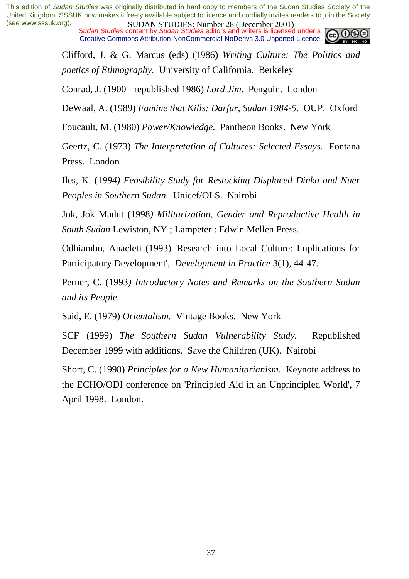*Sudan Studies* content by *Sudan Studies* editors and writers is licensed under a Creative Commons Attribution-NonCommercial-NoDerivs 3.0 Unported Licence.



Clifford, J. & G. Marcus (eds) (1986) *Writing Culture: The Politics and poetics of Ethnography.* University of California. Berkeley

Conrad, J. (1900 - republished 1986) *Lord Jim.* Penguin. London

DeWaal, A. (1989) *Famine that Kills: Darfur, Sudan 1984-5.* OUP. Oxford

Foucault, M. (1980) *Power/Knowledge.* Pantheon Books. New York

Geertz, C. (1973) *The Interpretation of Cultures: Selected Essays.* Fontana Press. London

Iles, K. (1*994) Feasibility Study for Restocking Displaced Dinka and Nuer Peoples in Southern Sudan.* Unicef/OLS. Nairobi

Jok, Jok Madut (1998*) Militarization, Gender and Reproductive Health in South Sudan* Lewiston, NY ; Lampeter : Edwin Mellen Press.

Odhiambo, Anacleti (1993) 'Research into Local Culture: Implications for Participatory Development', *Development in Practice* 3(1), 44-47.

Perner, C. (1993*) Introductory Notes and Remarks on the Southern Sudan and its People.*

Said, E. (1979) *Orientalism.* Vintage Books. New York

SCF (1999) *The Southern Sudan Vulnerability Study.* Republished December 1999 with additions. Save the Children (UK). Nairobi

Short, C. (1998) *Principles for a New Humanitarianism.* Keynote address to the ECHO/ODI conference on 'Principled Aid in an Unprincipled World', 7 April 1998. London.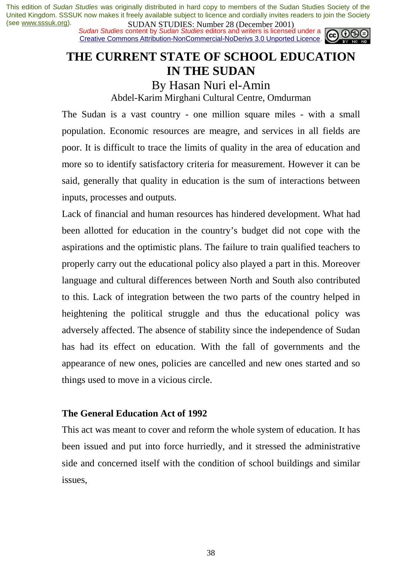*Sudan Studies* content by *Sudan Studies* editors and writers is licensed under a Creative Commons Attribution-NonCommercial-NoDerivs 3.0 Unported Licence.



# **THE CURRENT STATE OF SCHOOL EDUCATION IN THE SUDAN**

By Hasan Nuri el-Amin

Abdel-Karim Mirghani Cultural Centre, Omdurman

The Sudan is a vast country - one million square miles - with a small population. Economic resources are meagre, and services in all fields are poor. It is difficult to trace the limits of quality in the area of education and more so to identify satisfactory criteria for measurement. However it can be said, generally that quality in education is the sum of interactions between inputs, processes and outputs.

Lack of financial and human resources has hindered development. What had been allotted for education in the country's budget did not cope with the aspirations and the optimistic plans. The failure to train qualified teachers to properly carry out the educational policy also played a part in this. Moreover language and cultural differences between North and South also contributed to this. Lack of integration between the two parts of the country helped in heightening the political struggle and thus the educational policy was adversely affected. The absence of stability since the independence of Sudan has had its effect on education. With the fall of governments and the appearance of new ones, policies are cancelled and new ones started and so things used to move in a vicious circle.

## **The General Education Act of 1992**

This act was meant to cover and reform the whole system of education. It has been issued and put into force hurriedly, and it stressed the administrative side and concerned itself with the condition of school buildings and similar issues,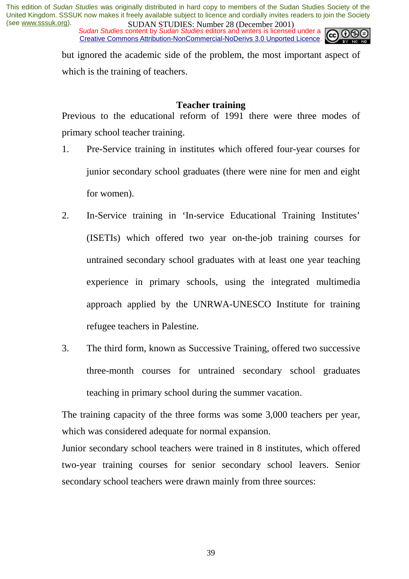*Sudan Studies* content by *Sudan Studies* editors and writers is licensed under a Creative Commons Attribution-NonCommercial-NoDerivs 3.0 Unported Licence.



but ignored the academic side of the problem, the most important aspect of which is the training of teachers.

#### **Teacher training**

Previous to the educational reform of 1991 there were three modes of primary school teacher training.

- 1. Pre-Service training in institutes which offered four-year courses for junior secondary school graduates (there were nine for men and eight for women).
- 2. In-Service training in 'In-service Educational Training Institutes' (ISETIs) which offered two year on-the-job training courses for untrained secondary school graduates with at least one year teaching experience in primary schools, using the integrated multimedia approach applied by the UNRWA-UNESCO Institute for training refugee teachers in Palestine.
- 3. The third form, known as Successive Training, offered two successive three-month courses for untrained secondary school graduates teaching in primary school during the summer vacation.

The training capacity of the three forms was some 3,000 teachers per year, which was considered adequate for normal expansion.

Junior secondary school teachers were trained in 8 institutes, which offered two-year training courses for senior secondary school leavers. Senior secondary school teachers were drawn mainly from three sources: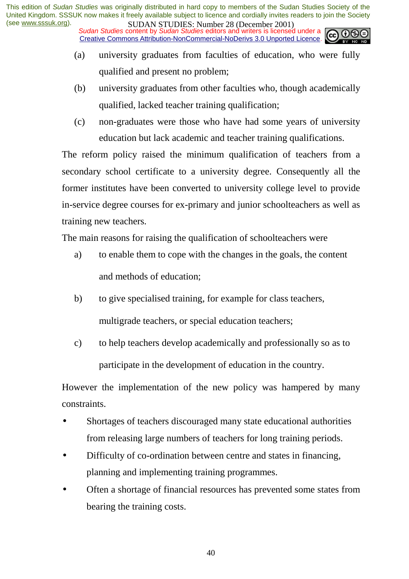*Sudan Studies* content by *Sudan Studies* editors and writers is licensed under a Creative Commons Attribution-NonCommercial-NoDerivs 3.0 Unported Licence.

- (a) university graduates from faculties of education, who were fully qualified and present no problem;
- (b) university graduates from other faculties who, though academically qualified, lacked teacher training qualification;
- (c) non-graduates were those who have had some years of university education but lack academic and teacher training qualifications.

The reform policy raised the minimum qualification of teachers from a secondary school certificate to a university degree. Consequently all the former institutes have been converted to university college level to provide in-service degree courses for ex-primary and junior schoolteachers as well as training new teachers.

The main reasons for raising the qualification of schoolteachers were

- a) to enable them to cope with the changes in the goals, the content and methods of education;
- b) to give specialised training, for example for class teachers, multigrade teachers, or special education teachers;
- c) to help teachers develop academically and professionally so as to participate in the development of education in the country.

However the implementation of the new policy was hampered by many constraints.

- Shortages of teachers discouraged many state educational authorities from releasing large numbers of teachers for long training periods.
- Difficulty of co-ordination between centre and states in financing, planning and implementing training programmes.
- Often a shortage of financial resources has prevented some states from bearing the training costs.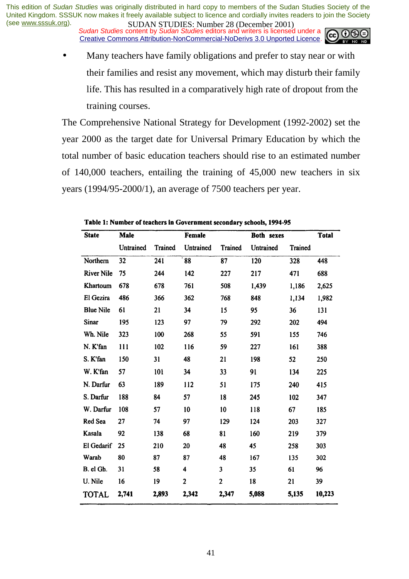*Sudan Studies* content by *Sudan Studies* editors and writers is licensed under a Creative Commons Attribution-NonCommercial-NoDerivs 3.0 Unported Licence.



Many teachers have family obligations and prefer to stay near or with their families and resist any movement, which may disturb their family life. This has resulted in a comparatively high rate of dropout from the training courses.

The Comprehensive National Strategy for Development (1992-2002) set the year 2000 as the target date for Universal Primary Education by which the total number of basic education teachers should rise to an estimated number of 140,000 teachers, entailing the training of 45,000 new teachers in six years (1994/95-2000/1), an average of 7500 teachers per year.

| <b>State</b>      | Male      |         | Female       |                | Both sexes |         | <b>Total</b> |
|-------------------|-----------|---------|--------------|----------------|------------|---------|--------------|
|                   | Untrained | Trained | Untrained    | <b>Trained</b> | Untrained  | Trained |              |
| Northern          | 32        | 241     | $^{\circ}88$ | 87             | 120        | 328     | 448          |
| <b>River Nile</b> | 75        | 244     | 142          | 227            | 217        | 471     | 688          |
| Khartoum          | 678       | 678     | 761          | 508            | 1,439      | 1,186   | 2,625        |
| El Gezira         | 486       | 366     | 362          | 768            | 848        | 1,134   | 1,982        |
| <b>Blue Nile</b>  | 61        | 21      | 34           | 15             | 95         | 36      | 131          |
| <b>Sinar</b>      | 195       | 123     | 97           | 79             | 292        | 202     | 494          |
| Wh. Nile          | 323       | 100     | 268          | 55             | 591        | 155     | 746          |
| N. K'fan          | 111       | 102     | 116          | 59             | 227        | 161     | 388          |
| S. K'fan          | 150       | 31      | 48           | 21             | 198        | 52      | 250          |
| W. K'fan          | 57        | 101     | 34           | 33             | 91         | 134     | 225          |
| N. Darfur         | 63        | 189     | 112          | 51             | 175        | 240     | 415          |
| S. Darfur         | 188       | 84      | 57           | 18             | 245        | 102     | 347          |
| W. Darfur         | 108       | 57      | 10           | 10             | 118        | 67      | 185          |
| Red Sea           | 27        | 74      | 97           | 129            | 124        | 203     | 327          |
| Kasala            | 92        | 138     | 68           | 81             | 160        | 219     | 379          |
| El Gedarif        | 25        | 210     | 20           | 48             | 45         | 258     | 303          |
| Warab             | 80        | 87      | 87           | 48             | 167        | 135     | 302          |
| B. el Gh.         | 31        | 58      | 4            | 3              | 35         | 61      | 96           |
| U. Nile           | 16        | 19      | $\mathbf{2}$ | $\overline{2}$ | 18         | 21      | 39           |
| <b>TOTAL</b>      | 2,741     | 2,893   | 2,342        | 2,347          | 5,088      | 5,135   | 10,223       |

Table 1: Number of teachers in Government secondary schools, 1994-95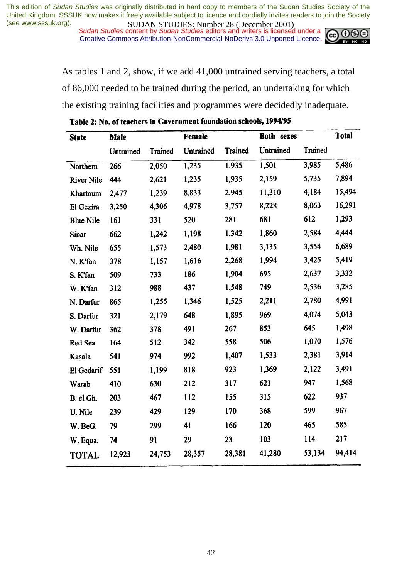*Sudan Studies* content by *Sudan Studies* editors and writers is licensed under a Creative Commons Attribution-NonCommercial-NoDerivs 3.0 Unported Licence.



As tables 1 and 2, show, if we add 41,000 untrained serving teachers, a total of 86,000 needed to be trained during the period, an undertaking for which the existing training facilities and programmes were decidedly inadequate.

| <b>State</b>      | <b>Male</b> |         | Female    |                | Both sexes |         | <b>Total</b> |
|-------------------|-------------|---------|-----------|----------------|------------|---------|--------------|
|                   | Untrained   | Trained | Untrained | <b>Trained</b> | Untrained  | Trained |              |
| Northern          | 266         | 2,050   | 1,235     | 1,935          | 1,501      | 3,985   | 5,486        |
| <b>River Nile</b> | 444         | 2,621   | 1,235     | 1,935          | 2,159      | 5,735   | 7,894        |
| Khartoum          | 2,477       | 1,239   | 8,833     | 2,945          | 11,310     | 4,184   | 15,494       |
| El Gezira         | 3,250       | 4,306   | 4,978     | 3,757          | 8,228      | 8,063   | 16,291       |
| <b>Blue Nile</b>  | 161         | 331     | 520       | 281            | 681        | 612     | 1,293        |
| <b>Sinar</b>      | 662         | 1,242   | 1,198     | 1,342          | 1,860      | 2,584   | 4,444        |
| Wh. Nile          | 655         | 1,573   | 2,480     | 1,981          | 3,135      | 3,554   | 6,689        |
| N. K'fan          | 378         | 1,157   | 1,616     | 2,268          | 1,994      | 3,425   | 5,419        |
| S. K'fan          | 509         | 733     | 186       | 1,904          | 695        | 2,637   | 3,332        |
| W. K'fan          | 312         | 988     | 437       | 1,548          | 749        | 2,536   | 3,285        |
| N. Darfur         | 865         | 1,255   | 1,346     | 1,525          | 2,211      | 2,780   | 4,991        |
| S. Darfur         | 321         | 2,179   | 648       | 1,895          | 969        | 4,074   | 5,043        |
| W. Darfur         | 362         | 378     | 491       | 267            | 853        | 645     | 1,498        |
| Red Sea           | 164         | 512     | 342       | 558            | 506        | 1,070   | 1,576        |
| Kasala            | 541         | 974     | 992       | 1,407          | 1,533      | 2,381   | 3,914        |
| El Gedarif        | 551         | 1,199   | 818       | 923            | 1,369      | 2,122   | 3,491        |
| Warab             | 410         | 630     | 212       | 317            | 621        | 947     | 1,568        |
| B. el Gh.         | 203         | 467     | 112       | 155            | 315        | 622     | 937          |
| U. Nile           | 239         | 429     | 129       | 170            | 368        | 599     | 967          |
| W. BeG.           | 79          | 299     | 41        | 166            | 120        | 465     | 585          |
| W. Equa.          | 74          | 91      | 29        | 23             | 103        | 114     | 217          |
| <b>TOTAL</b>      | 12,923      | 24,753  | 28,357    | 28,381         | 41,280     | 53,134  | 94,414       |

Table 2: No. of teachers in Government foundation schools, 1994/95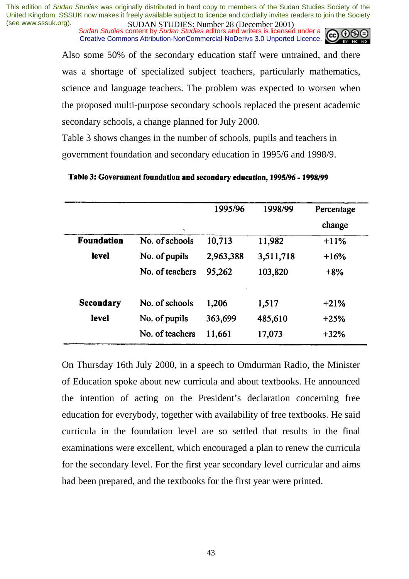*Sudan Studies* content by *Sudan Studies* editors and writers is licensed under a Creative Commons Attribution-NonCommercial-NoDerivs 3.0 Unported Licence.



Also some 50% of the secondary education staff were untrained, and there was a shortage of specialized subject teachers, particularly mathematics, science and language teachers. The problem was expected to worsen when the proposed multi-purpose secondary schools replaced the present academic secondary schools, a change planned for July 2000.

Table 3 shows changes in the number of schools, pupils and teachers in government foundation and secondary education in 1995/6 and 1998/9.

|                   |                 | 1995/96   | 1998/99   | Percentage |
|-------------------|-----------------|-----------|-----------|------------|
|                   | ÷.              |           |           | change     |
| <b>Foundation</b> | No. of schools  | 10,713    | 11,982    | $+11%$     |
| level             | No. of pupils   | 2,963,388 | 3,511,718 | $+16%$     |
|                   | No. of teachers | 95,262    | 103,820   | $+8%$      |
| <b>Secondary</b>  | No. of schools  | 1,206     | 1,517     | $+21%$     |
| level             | No. of pupils   | 363,699   | 485,610   | $+25%$     |
|                   | No. of teachers | 11,661    | 17,073    | $+32%$     |

#### Table 3: Government foundation and secondary education, 1995/96 - 1998/99

On Thursday 16th July 2000, in a speech to Omdurman Radio, the Minister of Education spoke about new curricula and about textbooks. He announced the intention of acting on the President's declaration concerning free education for everybody, together with availability of free textbooks. He said curricula in the foundation level are so settled that results in the final examinations were excellent, which encouraged a plan to renew the curricula for the secondary level. For the first year secondary level curricular and aims had been prepared, and the textbooks for the first year were printed.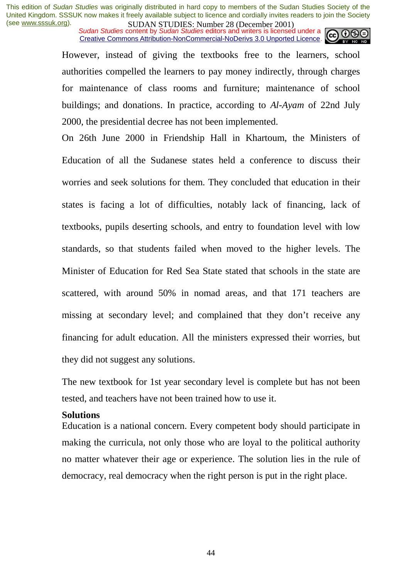*Sudan Studies* content by *Sudan Studies* editors and writers is licensed under a Creative Commons Attribution-NonCommercial-NoDerivs 3.0 Unported Licence.



However, instead of giving the textbooks free to the learners, school authorities compelled the learners to pay money indirectly, through charges for maintenance of class rooms and furniture; maintenance of school buildings; and donations. In practice, according to *Al-Ayam* of 22nd July 2000, the presidential decree has not been implemented.

On 26th June 2000 in Friendship Hall in Khartoum, the Ministers of Education of all the Sudanese states held a conference to discuss their worries and seek solutions for them. They concluded that education in their states is facing a lot of difficulties, notably lack of financing, lack of textbooks, pupils deserting schools, and entry to foundation level with low standards, so that students failed when moved to the higher levels. The Minister of Education for Red Sea State stated that schools in the state are scattered, with around 50% in nomad areas, and that 171 teachers are missing at secondary level; and complained that they don't receive any financing for adult education. All the ministers expressed their worries, but they did not suggest any solutions.

The new textbook for 1st year secondary level is complete but has not been tested, and teachers have not been trained how to use it.

#### **Solutions**

Education is a national concern. Every competent body should participate in making the curricula, not only those who are loyal to the political authority no matter whatever their age or experience. The solution lies in the rule of democracy, real democracy when the right person is put in the right place.

44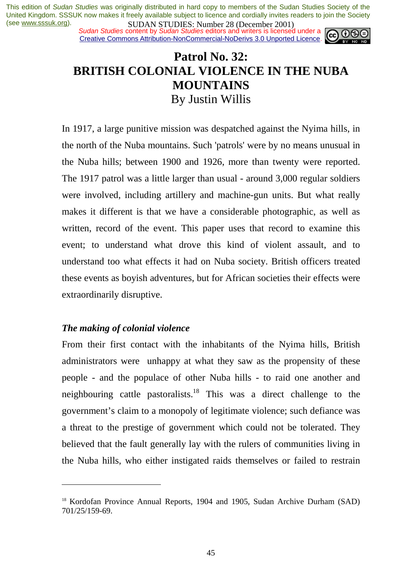*Sudan Studies* content by *Sudan Studies* editors and writers is licensed under a Creative Commons Attribution-NonCommercial-NoDerivs 3.0 Unported Licence.



# **Patrol No. 32: BRITISH COLONIAL VIOLENCE IN THE NUBA MOUNTAINS**  By Justin Willis

In 1917, a large punitive mission was despatched against the Nyima hills, in the north of the Nuba mountains. Such 'patrols' were by no means unusual in the Nuba hills; between 1900 and 1926, more than twenty were reported. The 1917 patrol was a little larger than usual - around 3,000 regular soldiers were involved, including artillery and machine-gun units. But what really makes it different is that we have a considerable photographic, as well as written, record of the event. This paper uses that record to examine this event; to understand what drove this kind of violent assault, and to understand too what effects it had on Nuba society. British officers treated these events as boyish adventures, but for African societies their effects were extraordinarily disruptive.

## *The making of colonial violence*

 $\overline{a}$ 

From their first contact with the inhabitants of the Nyima hills, British administrators were unhappy at what they saw as the propensity of these people - and the populace of other Nuba hills - to raid one another and neighbouring cattle pastoralists.<sup>18</sup> This was a direct challenge to the government's claim to a monopoly of legitimate violence; such defiance was a threat to the prestige of government which could not be tolerated. They believed that the fault generally lay with the rulers of communities living in the Nuba hills, who either instigated raids themselves or failed to restrain

<sup>&</sup>lt;sup>18</sup> Kordofan Province Annual Reports, 1904 and 1905, Sudan Archive Durham (SAD) 701/25/159-69.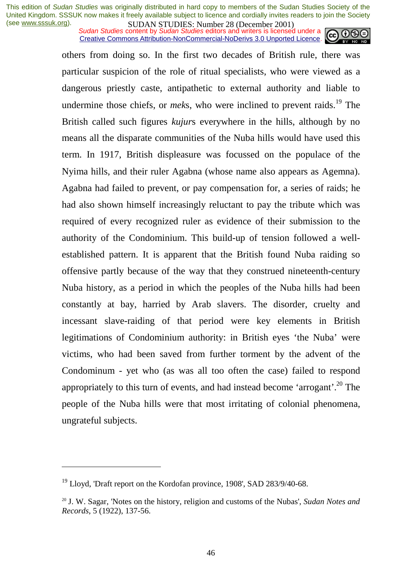*Sudan Studies* content by *Sudan Studies* editors and writers is licensed under a Creative Commons Attribution-NonCommercial-NoDerivs 3.0 Unported Licence.



others from doing so. In the first two decades of British rule, there was particular suspicion of the role of ritual specialists, who were viewed as a dangerous priestly caste, antipathetic to external authority and liable to undermine those chiefs, or *mek*s, who were inclined to prevent raids.<sup>19</sup> The British called such figures *kujur*s everywhere in the hills, although by no means all the disparate communities of the Nuba hills would have used this term. In 1917, British displeasure was focussed on the populace of the Nyima hills, and their ruler Agabna (whose name also appears as Agemna). Agabna had failed to prevent, or pay compensation for, a series of raids; he had also shown himself increasingly reluctant to pay the tribute which was required of every recognized ruler as evidence of their submission to the authority of the Condominium. This build-up of tension followed a wellestablished pattern. It is apparent that the British found Nuba raiding so offensive partly because of the way that they construed nineteenth-century Nuba history, as a period in which the peoples of the Nuba hills had been constantly at bay, harried by Arab slavers. The disorder, cruelty and incessant slave-raiding of that period were key elements in British legitimations of Condominium authority: in British eyes 'the Nuba' were victims, who had been saved from further torment by the advent of the Condominum - yet who (as was all too often the case) failed to respond appropriately to this turn of events, and had instead become 'arrogant'.<sup>20</sup> The people of the Nuba hills were that most irritating of colonial phenomena, ungrateful subjects.

 $19$  Lloyd, 'Draft report on the Kordofan province, 1908', SAD 283/9/40-68.

<sup>20</sup> J. W. Sagar, 'Notes on the history, religion and customs of the Nubas', *Sudan Notes and Records*, 5 (1922), 137-56.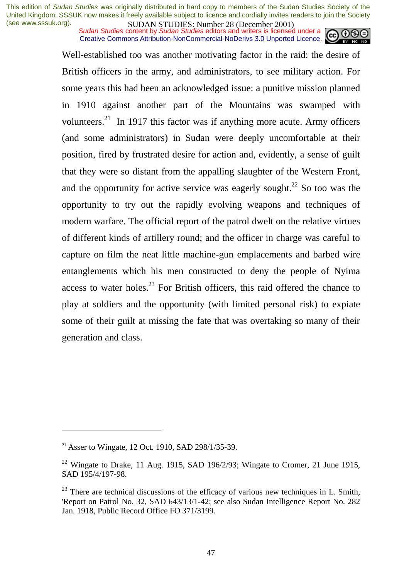*Sudan Studies* content by *Sudan Studies* editors and writers is licensed under a Creative Commons Attribution-NonCommercial-NoDerivs 3.0 Unported Licence.



Well-established too was another motivating factor in the raid: the desire of British officers in the army, and administrators, to see military action. For some years this had been an acknowledged issue: a punitive mission planned in 1910 against another part of the Mountains was swamped with volunteers.<sup>21</sup> In 1917 this factor was if anything more acute. Army officers (and some administrators) in Sudan were deeply uncomfortable at their position, fired by frustrated desire for action and, evidently, a sense of guilt that they were so distant from the appalling slaughter of the Western Front, and the opportunity for active service was eagerly sought.<sup>22</sup> So too was the opportunity to try out the rapidly evolving weapons and techniques of modern warfare. The official report of the patrol dwelt on the relative virtues of different kinds of artillery round; and the officer in charge was careful to capture on film the neat little machine-gun emplacements and barbed wire entanglements which his men constructed to deny the people of Nyima access to water holes. $^{23}$  For British officers, this raid offered the chance to play at soldiers and the opportunity (with limited personal risk) to expiate some of their guilt at missing the fate that was overtaking so many of their generation and class.

<sup>&</sup>lt;sup>21</sup> Asser to Wingate, 12 Oct. 1910, SAD 298/1/35-39.

<sup>&</sup>lt;sup>22</sup> Wingate to Drake, 11 Aug. 1915, SAD 196/2/93; Wingate to Cromer, 21 June 1915, SAD 195/4/197-98.

 $^{23}$  There are technical discussions of the efficacy of various new techniques in L. Smith, 'Report on Patrol No. 32, SAD 643/13/1-42; see also Sudan Intelligence Report No. 282 Jan. 1918, Public Record Office FO 371/3199.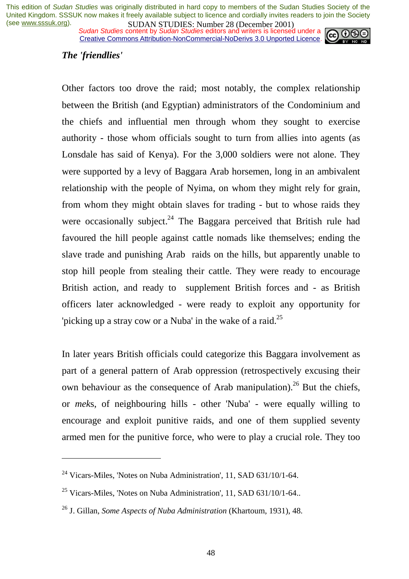*Sudan Studies* content by *Sudan Studies* editors and writers is licensed under a Creative Commons Attribution-NonCommercial-NoDerivs 3.0 Unported Licence.



## *The 'friendlies'*

 $\overline{a}$ 

Other factors too drove the raid; most notably, the complex relationship between the British (and Egyptian) administrators of the Condominium and the chiefs and influential men through whom they sought to exercise authority - those whom officials sought to turn from allies into agents (as Lonsdale has said of Kenya). For the 3,000 soldiers were not alone. They were supported by a levy of Baggara Arab horsemen, long in an ambivalent relationship with the people of Nyima, on whom they might rely for grain, from whom they might obtain slaves for trading - but to whose raids they were occasionally subject. $24$  The Baggara perceived that British rule had favoured the hill people against cattle nomads like themselves; ending the slave trade and punishing Arab raids on the hills, but apparently unable to stop hill people from stealing their cattle. They were ready to encourage British action, and ready to supplement British forces and - as British officers later acknowledged - were ready to exploit any opportunity for 'picking up a stray cow or a Nuba' in the wake of a raid.<sup>25</sup>

In later years British officials could categorize this Baggara involvement as part of a general pattern of Arab oppression (retrospectively excusing their own behaviour as the consequence of Arab manipulation).<sup>26</sup> But the chiefs, or *mek*s, of neighbouring hills - other 'Nuba' - were equally willing to encourage and exploit punitive raids, and one of them supplied seventy armed men for the punitive force, who were to play a crucial role. They too

 $^{24}$  Vicars-Miles, 'Notes on Nuba Administration', 11, SAD 631/10/1-64.

 $^{25}$  Vicars-Miles, 'Notes on Nuba Administration', 11, SAD 631/10/1-64..

<sup>26</sup> J. Gillan, *Some Aspects of Nuba Administration* (Khartoum, 1931), 48.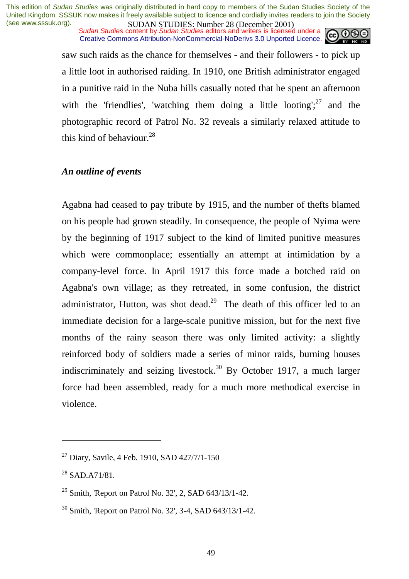*Sudan Studies* content by *Sudan Studies* editors and writers is licensed under a Creative Commons Attribution-NonCommercial-NoDerivs 3.0 Unported Licence.



saw such raids as the chance for themselves - and their followers - to pick up a little loot in authorised raiding. In 1910, one British administrator engaged in a punitive raid in the Nuba hills casually noted that he spent an afternoon with the 'friendlies', 'watching them doing a little looting';  $27$  and the photographic record of Patrol No. 32 reveals a similarly relaxed attitude to this kind of behaviour. $^{28}$ 

## *An outline of events*

Agabna had ceased to pay tribute by 1915, and the number of thefts blamed on his people had grown steadily. In consequence, the people of Nyima were by the beginning of 1917 subject to the kind of limited punitive measures which were commonplace; essentially an attempt at intimidation by a company-level force. In April 1917 this force made a botched raid on Agabna's own village; as they retreated, in some confusion, the district administrator, Hutton, was shot dead.<sup>29</sup> The death of this officer led to an immediate decision for a large-scale punitive mission, but for the next five months of the rainy season there was only limited activity: a slightly reinforced body of soldiers made a series of minor raids, burning houses indiscriminately and seizing livestock.<sup>30</sup> By October 1917, a much larger force had been assembled, ready for a much more methodical exercise in violence.

 $^{27}$  Diary, Savile, 4 Feb. 1910, SAD 427/7/1-150

 $^{28}$  SAD.A71/81.

<sup>&</sup>lt;sup>29</sup> Smith, 'Report on Patrol No. 32', 2, SAD  $643/13/1-42$ .

<sup>30</sup> Smith, 'Report on Patrol No. 32', 3-4, SAD 643/13/1-42.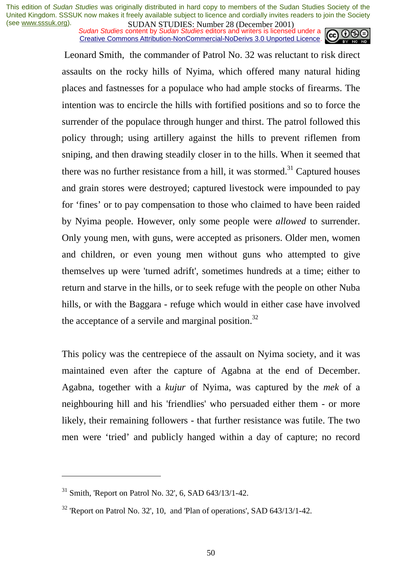*Sudan Studies* content by *Sudan Studies* editors and writers is licensed under a Creative Commons Attribution-NonCommercial-NoDerivs 3.0 Unported Licence.



 Leonard Smith, the commander of Patrol No. 32 was reluctant to risk direct assaults on the rocky hills of Nyima, which offered many natural hiding places and fastnesses for a populace who had ample stocks of firearms. The intention was to encircle the hills with fortified positions and so to force the surrender of the populace through hunger and thirst. The patrol followed this policy through; using artillery against the hills to prevent riflemen from sniping, and then drawing steadily closer in to the hills. When it seemed that there was no further resistance from a hill, it was stormed.<sup>31</sup> Captured houses and grain stores were destroyed; captured livestock were impounded to pay for 'fines' or to pay compensation to those who claimed to have been raided by Nyima people. However, only some people were *allowed* to surrender. Only young men, with guns, were accepted as prisoners. Older men, women and children, or even young men without guns who attempted to give themselves up were 'turned adrift', sometimes hundreds at a time; either to return and starve in the hills, or to seek refuge with the people on other Nuba hills, or with the Baggara - refuge which would in either case have involved the acceptance of a servile and marginal position.<sup>32</sup>

This policy was the centrepiece of the assault on Nyima society, and it was maintained even after the capture of Agabna at the end of December. Agabna, together with a *kujur* of Nyima, was captured by the *mek* of a neighbouring hill and his 'friendlies' who persuaded either them - or more likely, their remaining followers - that further resistance was futile. The two men were 'tried' and publicly hanged within a day of capture; no record

 $31$  Smith, 'Report on Patrol No. 32', 6, SAD 643/13/1-42.

 $32$  'Report on Patrol No. 32', 10, and 'Plan of operations', SAD 643/13/1-42.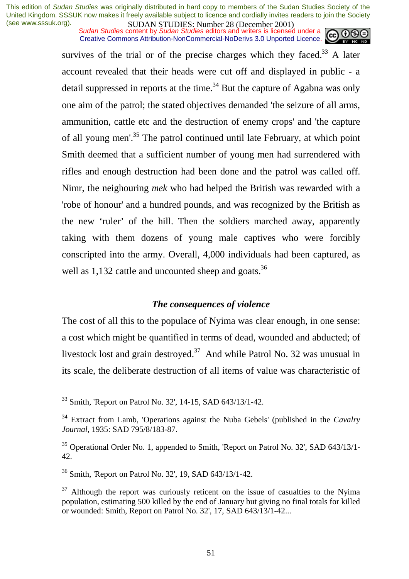*Sudan Studies* content by *Sudan Studies* editors and writers is licensed under a Creative Commons Attribution-NonCommercial-NoDerivs 3.0 Unported Licence.



survives of the trial or of the precise charges which they faced.<sup>33</sup> A later account revealed that their heads were cut off and displayed in public - a detail suppressed in reports at the time.<sup>34</sup> But the capture of Agabna was only one aim of the patrol; the stated objectives demanded 'the seizure of all arms, ammunition, cattle etc and the destruction of enemy crops' and 'the capture of all young men'.<sup>35</sup> The patrol continued until late February, at which point Smith deemed that a sufficient number of young men had surrendered with rifles and enough destruction had been done and the patrol was called off. Nimr, the neighouring *mek* who had helped the British was rewarded with a 'robe of honour' and a hundred pounds, and was recognized by the British as the new 'ruler' of the hill. Then the soldiers marched away, apparently taking with them dozens of young male captives who were forcibly conscripted into the army. Overall, 4,000 individuals had been captured, as well as 1,132 cattle and uncounted sheep and goats.<sup>36</sup>

## *The consequences of violence*

The cost of all this to the populace of Nyima was clear enough, in one sense: a cost which might be quantified in terms of dead, wounded and abducted; of livestock lost and grain destroyed.<sup>37</sup> And while Patrol No. 32 was unusual in its scale, the deliberate destruction of all items of value was characteristic of

<sup>33</sup> Smith, 'Report on Patrol No. 32', 14-15, SAD 643/13/1-42.

<sup>34</sup> Extract from Lamb, 'Operations against the Nuba Gebels' (published in the *Cavalry Journal*, 1935: SAD 795/8/183-87.

<sup>&</sup>lt;sup>35</sup> Operational Order No. 1, appended to Smith, 'Report on Patrol No. 32', SAD 643/13/1-42.

<sup>36</sup> Smith, 'Report on Patrol No. 32', 19, SAD 643/13/1-42.

 $37$  Although the report was curiously reticent on the issue of casualties to the Nyima population, estimating 500 killed by the end of January but giving no final totals for killed or wounded: Smith, Report on Patrol No. 32', 17, SAD 643/13/1-42...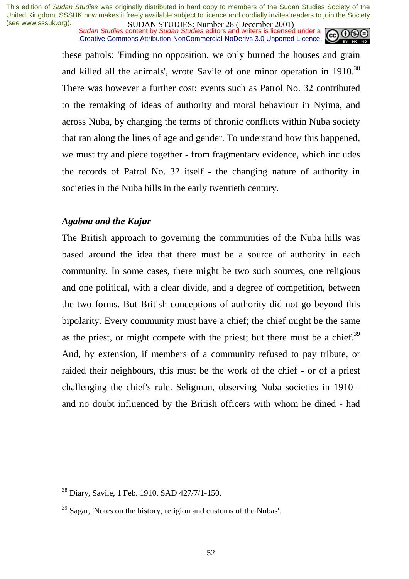*Sudan Studies* content by *Sudan Studies* editors and writers is licensed under a Creative Commons Attribution-NonCommercial-NoDerivs 3.0 Unported Licence.



these patrols: 'Finding no opposition, we only burned the houses and grain and killed all the animals', wrote Savile of one minor operation in 1910.<sup>38</sup> There was however a further cost: events such as Patrol No. 32 contributed to the remaking of ideas of authority and moral behaviour in Nyima, and across Nuba, by changing the terms of chronic conflicts within Nuba society that ran along the lines of age and gender. To understand how this happened, we must try and piece together - from fragmentary evidence, which includes the records of Patrol No. 32 itself - the changing nature of authority in societies in the Nuba hills in the early twentieth century.

## *Agabna and the Kujur*

The British approach to governing the communities of the Nuba hills was based around the idea that there must be a source of authority in each community. In some cases, there might be two such sources, one religious and one political, with a clear divide, and a degree of competition, between the two forms. But British conceptions of authority did not go beyond this bipolarity. Every community must have a chief; the chief might be the same as the priest, or might compete with the priest; but there must be a chief.<sup>39</sup> And, by extension, if members of a community refused to pay tribute, or raided their neighbours, this must be the work of the chief - or of a priest challenging the chief's rule. Seligman, observing Nuba societies in 1910 and no doubt influenced by the British officers with whom he dined - had

<sup>38</sup> Diary, Savile, 1 Feb. 1910, SAD 427/7/1-150.

 $39$  Sagar, 'Notes on the history, religion and customs of the Nubas'.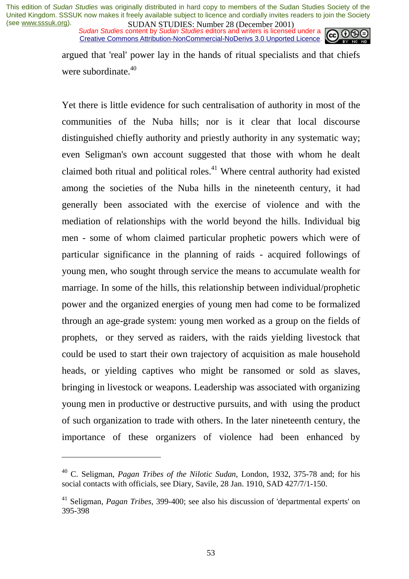*Sudan Studies* content by *Sudan Studies* editors and writers is licensed under a Creative Commons Attribution-NonCommercial-NoDerivs 3.0 Unported Licence.



argued that 'real' power lay in the hands of ritual specialists and that chiefs were subordinate.<sup>40</sup>

Yet there is little evidence for such centralisation of authority in most of the communities of the Nuba hills; nor is it clear that local discourse distinguished chiefly authority and priestly authority in any systematic way; even Seligman's own account suggested that those with whom he dealt claimed both ritual and political roles.<sup>41</sup> Where central authority had existed among the societies of the Nuba hills in the nineteenth century, it had generally been associated with the exercise of violence and with the mediation of relationships with the world beyond the hills. Individual big men - some of whom claimed particular prophetic powers which were of particular significance in the planning of raids - acquired followings of young men, who sought through service the means to accumulate wealth for marriage. In some of the hills, this relationship between individual/prophetic power and the organized energies of young men had come to be formalized through an age-grade system: young men worked as a group on the fields of prophets, or they served as raiders, with the raids yielding livestock that could be used to start their own trajectory of acquisition as male household heads, or yielding captives who might be ransomed or sold as slaves, bringing in livestock or weapons. Leadership was associated with organizing young men in productive or destructive pursuits, and with using the product of such organization to trade with others. In the later nineteenth century, the importance of these organizers of violence had been enhanced by

<sup>40</sup> C. Seligman, *Pagan Tribes of the Nilotic Sudan*, London, 1932, 375-78 and; for his social contacts with officials, see Diary, Savile, 28 Jan. 1910, SAD 427/7/1-150.

<sup>41</sup> Seligman, *Pagan Tribes*, 399-400; see also his discussion of 'departmental experts' on 395-398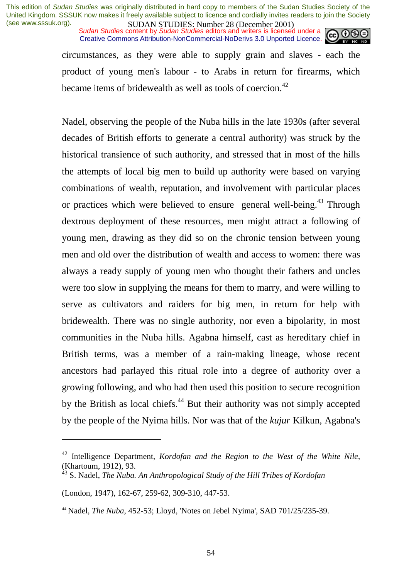*Sudan Studies* content by *Sudan Studies* editors and writers is licensed under a Creative Commons Attribution-NonCommercial-NoDerivs 3.0 Unported Licence.



circumstances, as they were able to supply grain and slaves - each the product of young men's labour - to Arabs in return for firearms, which became items of bridewealth as well as tools of coercion.<sup>42</sup>

Nadel, observing the people of the Nuba hills in the late 1930s (after several decades of British efforts to generate a central authority) was struck by the historical transience of such authority, and stressed that in most of the hills the attempts of local big men to build up authority were based on varying combinations of wealth, reputation, and involvement with particular places or practices which were believed to ensure general well-being.<sup>43</sup> Through dextrous deployment of these resources, men might attract a following of young men, drawing as they did so on the chronic tension between young men and old over the distribution of wealth and access to women: there was always a ready supply of young men who thought their fathers and uncles were too slow in supplying the means for them to marry, and were willing to serve as cultivators and raiders for big men, in return for help with bridewealth. There was no single authority, nor even a bipolarity, in most communities in the Nuba hills. Agabna himself, cast as hereditary chief in British terms, was a member of a rain-making lineage, whose recent ancestors had parlayed this ritual role into a degree of authority over a growing following, and who had then used this position to secure recognition by the British as local chiefs.<sup>44</sup> But their authority was not simply accepted by the people of the Nyima hills. Nor was that of the *kujur* Kilkun, Agabna's

<sup>42</sup> Intelligence Department, *Kordofan and the Region to the West of the White Nile*, (Khartoum, 1912), 93.

<sup>43</sup> S. Nadel, *The Nuba. An Anthropological Study of the Hill Tribes of Kordofan* 

<sup>(</sup>London, 1947), 162-67, 259-62, 309-310, 447-53.

<sup>44</sup> Nadel, *The Nuba*, 452-53; Lloyd, 'Notes on Jebel Nyima', SAD 701/25/235-39.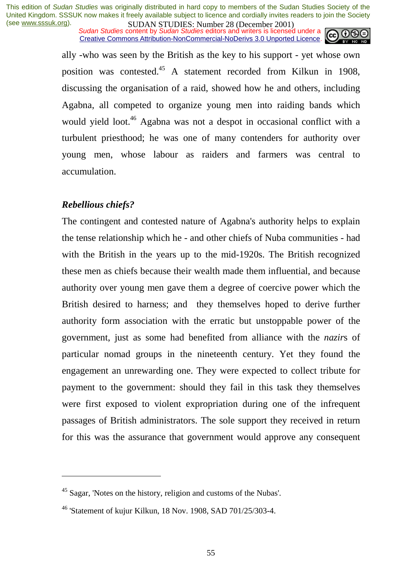*Sudan Studies* content by *Sudan Studies* editors and writers is licensed under a Creative Commons Attribution-NonCommercial-NoDerivs 3.0 Unported Licence.



ally -who was seen by the British as the key to his support - yet whose own position was contested.45 A statement recorded from Kilkun in 1908, discussing the organisation of a raid, showed how he and others, including Agabna, all competed to organize young men into raiding bands which would yield loot.<sup>46</sup> Agabna was not a despot in occasional conflict with a turbulent priesthood; he was one of many contenders for authority over young men, whose labour as raiders and farmers was central to accumulation.

## *Rebellious chiefs?*

 $\overline{a}$ 

The contingent and contested nature of Agabna's authority helps to explain the tense relationship which he - and other chiefs of Nuba communities - had with the British in the years up to the mid-1920s. The British recognized these men as chiefs because their wealth made them influential, and because authority over young men gave them a degree of coercive power which the British desired to harness; and they themselves hoped to derive further authority form association with the erratic but unstoppable power of the government, just as some had benefited from alliance with the *nazir*s of particular nomad groups in the nineteenth century. Yet they found the engagement an unrewarding one. They were expected to collect tribute for payment to the government: should they fail in this task they themselves were first exposed to violent expropriation during one of the infrequent passages of British administrators. The sole support they received in return for this was the assurance that government would approve any consequent

<sup>45</sup> Sagar, 'Notes on the history, religion and customs of the Nubas'.

<sup>46 &#</sup>x27;Statement of kujur Kilkun, 18 Nov. 1908, SAD 701/25/303-4.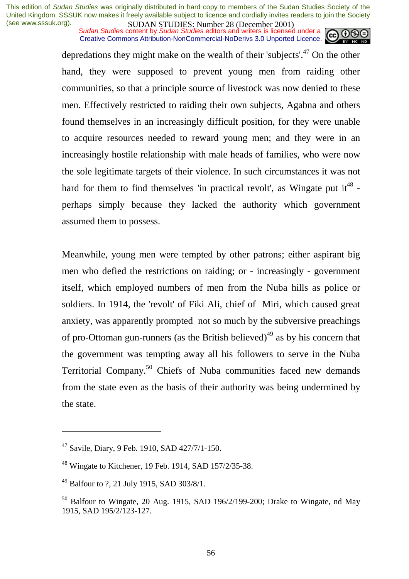*Sudan Studies* content by *Sudan Studies* editors and writers is licensed under a Creative Commons Attribution-NonCommercial-NoDerivs 3.0 Unported Licence.



depredations they might make on the wealth of their 'subjects'.47 On the other hand, they were supposed to prevent young men from raiding other communities, so that a principle source of livestock was now denied to these men. Effectively restricted to raiding their own subjects, Agabna and others found themselves in an increasingly difficult position, for they were unable to acquire resources needed to reward young men; and they were in an increasingly hostile relationship with male heads of families, who were now the sole legitimate targets of their violence. In such circumstances it was not hard for them to find themselves 'in practical revolt', as Wingate put  $it^{48}$  perhaps simply because they lacked the authority which government assumed them to possess.

Meanwhile, young men were tempted by other patrons; either aspirant big men who defied the restrictions on raiding; or - increasingly - government itself, which employed numbers of men from the Nuba hills as police or soldiers. In 1914, the 'revolt' of Fiki Ali, chief of Miri, which caused great anxiety, was apparently prompted not so much by the subversive preachings of pro-Ottoman gun-runners (as the British believed)<sup>49</sup> as by his concern that the government was tempting away all his followers to serve in the Nuba Territorial Company.50 Chiefs of Nuba communities faced new demands from the state even as the basis of their authority was being undermined by the state.

 $47$  Savile, Diary, 9 Feb. 1910, SAD  $427/7/1-150$ .

<sup>48</sup> Wingate to Kitchener, 19 Feb. 1914, SAD 157/2/35-38.

<sup>49</sup> Balfour to ?, 21 July 1915, SAD 303/8/1.

 $50$  Balfour to Wingate, 20 Aug. 1915, SAD 196/2/199-200; Drake to Wingate, nd May 1915, SAD 195/2/123-127.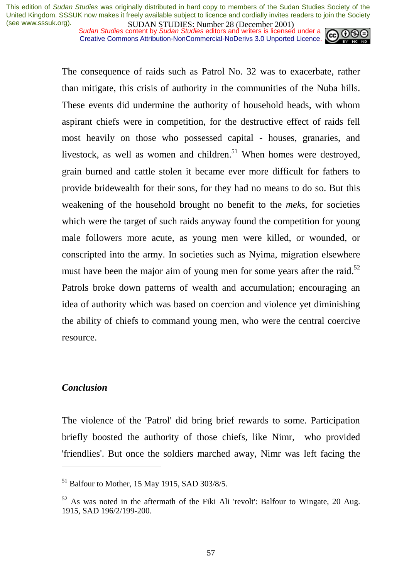*Sudan Studies* content by *Sudan Studies* editors and writers is licensed under a Creative Commons Attribution-NonCommercial-NoDerivs 3.0 Unported Licence.



The consequence of raids such as Patrol No. 32 was to exacerbate, rather than mitigate, this crisis of authority in the communities of the Nuba hills. These events did undermine the authority of household heads, with whom aspirant chiefs were in competition, for the destructive effect of raids fell most heavily on those who possessed capital - houses, granaries, and livestock, as well as women and children.<sup>51</sup> When homes were destroyed, grain burned and cattle stolen it became ever more difficult for fathers to provide bridewealth for their sons, for they had no means to do so. But this weakening of the household brought no benefit to the *mek*s, for societies which were the target of such raids anyway found the competition for young male followers more acute, as young men were killed, or wounded, or conscripted into the army. In societies such as Nyima, migration elsewhere must have been the major aim of young men for some years after the raid.<sup>52</sup> Patrols broke down patterns of wealth and accumulation; encouraging an idea of authority which was based on coercion and violence yet diminishing the ability of chiefs to command young men, who were the central coercive resource.

## *Conclusion*

 $\overline{a}$ 

The violence of the 'Patrol' did bring brief rewards to some. Participation briefly boosted the authority of those chiefs, like Nimr, who provided 'friendlies'. But once the soldiers marched away, Nimr was left facing the

 $51$  Balfour to Mother, 15 May 1915, SAD 303/8/5.

 $52$  As was noted in the aftermath of the Fiki Ali 'revolt': Balfour to Wingate, 20 Aug. 1915, SAD 196/2/199-200.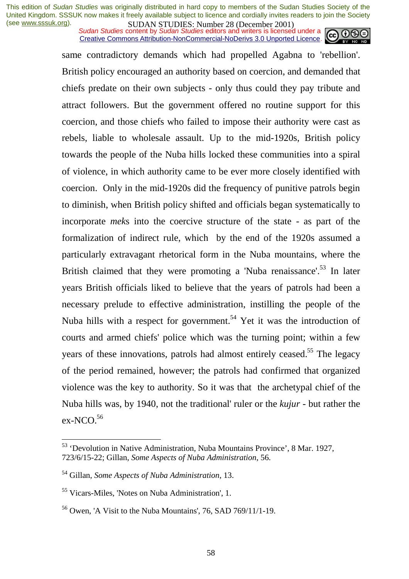*Sudan Studies* content by *Sudan Studies* editors and writers is licensed under a Creative Commons Attribution-NonCommercial-NoDerivs 3.0 Unported Licence.



same contradictory demands which had propelled Agabna to 'rebellion'. British policy encouraged an authority based on coercion, and demanded that chiefs predate on their own subjects - only thus could they pay tribute and attract followers. But the government offered no routine support for this coercion, and those chiefs who failed to impose their authority were cast as rebels, liable to wholesale assault. Up to the mid-1920s, British policy towards the people of the Nuba hills locked these communities into a spiral of violence, in which authority came to be ever more closely identified with coercion. Only in the mid-1920s did the frequency of punitive patrols begin to diminish, when British policy shifted and officials began systematically to incorporate *mek*s into the coercive structure of the state - as part of the formalization of indirect rule, which by the end of the 1920s assumed a particularly extravagant rhetorical form in the Nuba mountains, where the British claimed that they were promoting a 'Nuba renaissance'.<sup>53</sup> In later years British officials liked to believe that the years of patrols had been a necessary prelude to effective administration, instilling the people of the Nuba hills with a respect for government.<sup>54</sup> Yet it was the introduction of courts and armed chiefs' police which was the turning point; within a few years of these innovations, patrols had almost entirely ceased.<sup>55</sup> The legacy of the period remained, however; the patrols had confirmed that organized violence was the key to authority. So it was that the archetypal chief of the Nuba hills was, by 1940, not the traditional' ruler or the *kujur* - but rather the ex-NCO.<sup>56</sup>

<sup>53 &#</sup>x27;Devolution in Native Administration, Nuba Mountains Province', 8 Mar. 1927, 723/6/15-22; Gillan, *Some Aspects of Nuba Administration*, 56.

<sup>54</sup> Gillan, *Some Aspects of Nuba Administration*, 13.

<sup>55</sup> Vicars-Miles, 'Notes on Nuba Administration', 1.

 $56$  Owen, 'A Visit to the Nuba Mountains', 76, SAD 769/11/1-19.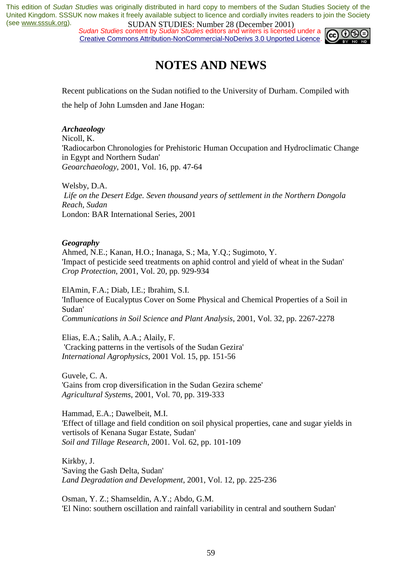*Sudan Studies* content by *Sudan Studies* editors and writers is licensed under a Creative Commons Attribution-NonCommercial-NoDerivs 3.0 Unported Licence.



# **NOTES AND NEWS**

Recent publications on the Sudan notified to the University of Durham. Compiled with the help of John Lumsden and Jane Hogan:

#### *Archaeology*

Nicoll, K. 'Radiocarbon Chronologies for Prehistoric Human Occupation and Hydroclimatic Change in Egypt and Northern Sudan' *Geoarchaeology*, 2001, Vol. 16, pp. 47-64

Welsby, D.A. *Life on the Desert Edge. Seven thousand years of settlement in the Northern Dongola Reach, Sudan*  London: BAR International Series, 2001

#### *Geography*

Ahmed, N.E.; Kanan, H.O.; Inanaga, S.; Ma, Y.Q.; Sugimoto, Y. 'Impact of pesticide seed treatments on aphid control and yield of wheat in the Sudan' *Crop Protection*, 2001, Vol. 20, pp. 929-934

ElAmin, F.A.; Diab, I.E.; Ibrahim, S.I. 'Influence of Eucalyptus Cover on Some Physical and Chemical Properties of a Soil in Sudan' *Communications in Soil Science and Plant Analysis*, 2001, Vol. 32, pp. 2267-2278

Elias, E.A.; Salih, A.A.; Alaily, F. 'Cracking patterns in the vertisols of the Sudan Gezira' *International Agrophysics*, 2001 Vol. 15, pp. 151-56

Guvele, C. A. 'Gains from crop diversification in the Sudan Gezira scheme' *Agricultural Systems*, 2001, Vol. 70, pp. 319-333

Hammad, E.A.; Dawelbeit, M.I. 'Effect of tillage and field condition on soil physical properties, cane and sugar yields in vertisols of Kenana Sugar Estate, Sudan' *Soil and Tillage Research*, 2001. Vol. 62, pp. 101-109

Kirkby, J. 'Saving the Gash Delta, Sudan' *Land Degradation and Development*, 2001, Vol. 12, pp. 225-236

Osman, Y. Z.; Shamseldin, A.Y.; Abdo, G.M. 'El Nino: southern oscillation and rainfall variability in central and southern Sudan'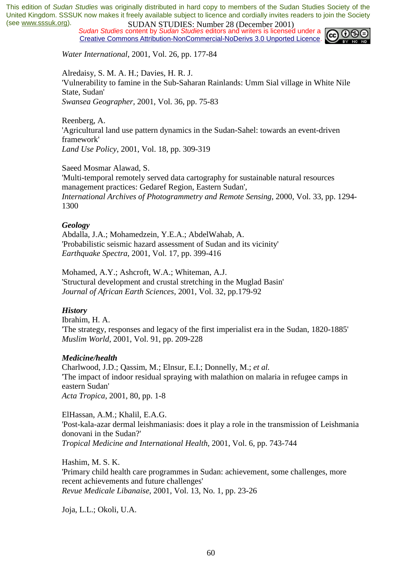*Sudan Studies* content by *Sudan Studies* editors and writers is licensed under a Creative Commons Attribution-NonCommercial-NoDerivs 3.0 Unported Licence.



*Water International*, 2001, Vol. 26, pp. 177-84

Alredaisy, S. M. A. H.; Davies, H. R. J. 'Vulnerability to famine in the Sub-Saharan Rainlands: Umm Sial village in White Nile State, Sudan' *Swansea Geographer,* 2001, Vol. 36, pp. 75-83

Reenberg, A.

'Agricultural land use pattern dynamics in the Sudan-Sahel: towards an event-driven framework' *Land Use Policy*, 2001, Vol. 18, pp. 309-319

Saeed Mosmar Alawad, S.

'Multi-temporal remotely served data cartography for sustainable natural resources management practices: Gedaref Region, Eastern Sudan', *International Archives of Photogrammetry and Remote Sensing*, 2000, Vol. 33, pp. 1294- 1300

#### *Geology*

Abdalla, J.A.; Mohamedzein, Y.E.A.; AbdelWahab, A. 'Probabilistic seismic hazard assessment of Sudan and its vicinity' *Earthquake Spectra*, 2001, Vol. 17, pp. 399-416

Mohamed, A.Y.; Ashcroft, W.A.; Whiteman, A.J. 'Structural development and crustal stretching in the Muglad Basin' *Journal of African Earth Sciences*, 2001, Vol. 32, pp.179-92

#### *History*

Ibrahim, H. A. 'The strategy, responses and legacy of the first imperialist era in the Sudan, 1820-1885' *Muslim World*, 2001, Vol. 91, pp. 209-228

#### *Medicine/health*

Charlwood, J.D.; Qassim, M.; Elnsur, E.I.; Donnelly, M.; *et al.* 'The impact of indoor residual spraying with malathion on malaria in refugee camps in eastern Sudan' *Acta Tropica*, 2001, 80, pp. 1-8

ElHassan, A.M.; Khalil, E.A.G. 'Post-kala-azar dermal leishmaniasis: does it play a role in the transmission of Leishmania donovani in the Sudan?' *Tropical Medicine and International Health*, 2001, Vol. 6, pp. 743-744

Hashim, M. S. K. 'Primary child health care programmes in Sudan: achievement, some challenges, more recent achievements and future challenges' *Revue Medicale Libanaise*, 2001, Vol. 13, No. 1, pp. 23-26

Joja, L.L.; Okoli, U.A.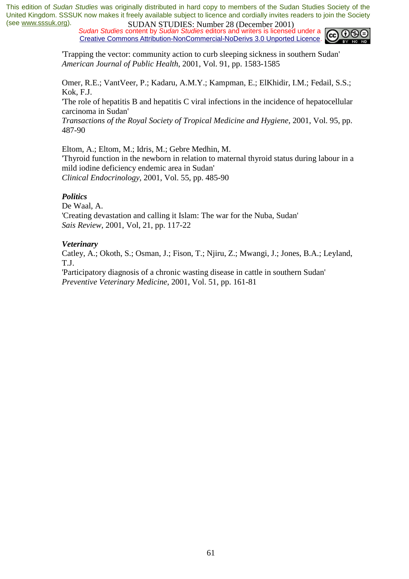*Sudan Studies* content by *Sudan Studies* editors and writers is licensed under a Creative Commons Attribution-NonCommercial-NoDerivs 3.0 Unported Licence.



'Trapping the vector: community action to curb sleeping sickness in southern Sudan' *American Journal of Public Health*, 2001, Vol. 91, pp. 1583-1585

Omer, R.E.; VantVeer, P.; Kadaru, A.M.Y.; Kampman, E.; ElKhidir, I.M.; Fedail, S.S.; Kok, F.J.

'The role of hepatitis B and hepatitis C viral infections in the incidence of hepatocellular carcinoma in Sudan'

*Transactions of the Royal Society of Tropical Medicine and Hygiene*, 2001, Vol. 95, pp. 487-90

Eltom, A.; Eltom, M.; Idris, M.; Gebre Medhin, M.

'Thyroid function in the newborn in relation to maternal thyroid status during labour in a mild iodine deficiency endemic area in Sudan' *Clinical Endocrinology*, 2001, Vol. 55, pp. 485-90

#### *Politics*

De Waal, A. 'Creating devastation and calling it Islam: The war for the Nuba, Sudan' *Sais Review*, 2001, Vol, 21, pp. 117-22

#### *Veterinary*

Catley, A.; Okoth, S.; Osman, J.; Fison, T.; Njiru, Z.; Mwangi, J.; Jones, B.A.; Leyland, T.J.

'Participatory diagnosis of a chronic wasting disease in cattle in southern Sudan' *Preventive Veterinary Medicine*, 2001, Vol. 51, pp. 161-81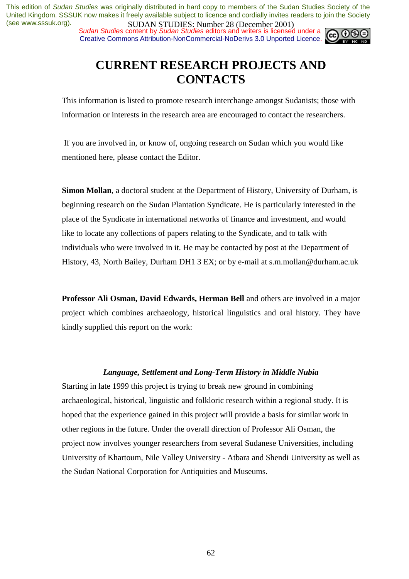*Sudan Studies* content by *Sudan Studies* editors and writers is licensed under a Creative Commons Attribution-NonCommercial-NoDerivs 3.0 Unported Licence.



# **CURRENT RESEARCH PROJECTS AND CONTACTS**

This information is listed to promote research interchange amongst Sudanists; those with information or interests in the research area are encouraged to contact the researchers.

 If you are involved in, or know of, ongoing research on Sudan which you would like mentioned here, please contact the Editor.

**Simon Mollan**, a doctoral student at the Department of History, University of Durham, is beginning research on the Sudan Plantation Syndicate. He is particularly interested in the place of the Syndicate in international networks of finance and investment, and would like to locate any collections of papers relating to the Syndicate, and to talk with individuals who were involved in it. He may be contacted by post at the Department of History, 43, North Bailey, Durham DH1 3 EX; or by e-mail at s.m.mollan@durham.ac.uk

**Professor Ali Osman, David Edwards, Herman Bell** and others are involved in a major project which combines archaeology, historical linguistics and oral history. They have kindly supplied this report on the work:

#### *Language, Settlement and Long-Term History in Middle Nubia*

Starting in late 1999 this project is trying to break new ground in combining archaeological, historical, linguistic and folkloric research within a regional study. It is hoped that the experience gained in this project will provide a basis for similar work in other regions in the future. Under the overall direction of Professor Ali Osman, the project now involves younger researchers from several Sudanese Universities, including University of Khartoum, Nile Valley University - Atbara and Shendi University as well as the Sudan National Corporation for Antiquities and Museums.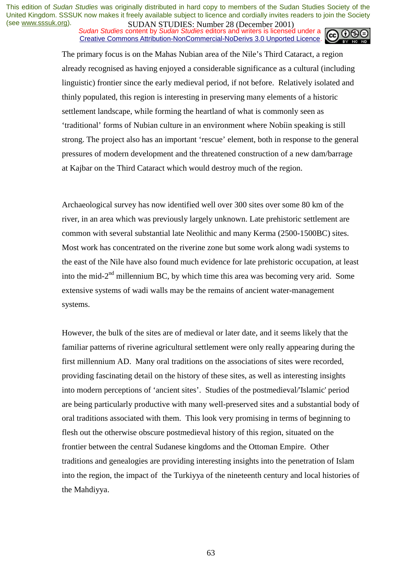*Sudan Studies* content by *Sudan Studies* editors and writers is licensed under a Creative Commons Attribution-NonCommercial-NoDerivs 3.0 Unported Licence.



The primary focus is on the Mahas Nubian area of the Nile's Third Cataract, a region already recognised as having enjoyed a considerable significance as a cultural (including linguistic) frontier since the early medieval period, if not before. Relatively isolated and thinly populated, this region is interesting in preserving many elements of a historic settlement landscape, while forming the heartland of what is commonly seen as 'traditional' forms of Nubian culture in an environment where Nobíin speaking is still strong. The project also has an important 'rescue' element, both in response to the general pressures of modern development and the threatened construction of a new dam/barrage at Kajbar on the Third Cataract which would destroy much of the region.

Archaeological survey has now identified well over 300 sites over some 80 km of the river, in an area which was previously largely unknown. Late prehistoric settlement are common with several substantial late Neolithic and many Kerma (2500-1500BC) sites. Most work has concentrated on the riverine zone but some work along wadi systems to the east of the Nile have also found much evidence for late prehistoric occupation, at least into the mid- $2<sup>nd</sup>$  millennium BC, by which time this area was becoming very arid. Some extensive systems of wadi walls may be the remains of ancient water-management systems.

However, the bulk of the sites are of medieval or later date, and it seems likely that the familiar patterns of riverine agricultural settlement were only really appearing during the first millennium AD. Many oral traditions on the associations of sites were recorded, providing fascinating detail on the history of these sites, as well as interesting insights into modern perceptions of 'ancient sites'. Studies of the postmedieval/'Islamic' period are being particularly productive with many well-preserved sites and a substantial body of oral traditions associated with them. This look very promising in terms of beginning to flesh out the otherwise obscure postmedieval history of this region, situated on the frontier between the central Sudanese kingdoms and the Ottoman Empire. Other traditions and genealogies are providing interesting insights into the penetration of Islam into the region, the impact of the Turkiyya of the nineteenth century and local histories of the Mahdiyya.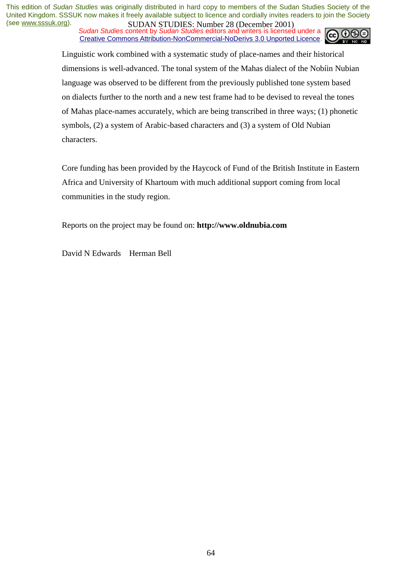*Sudan Studies* content by *Sudan Studies* editors and writers is licensed under a Creative Commons Attribution-NonCommercial-NoDerivs 3.0 Unported Licence.



Linguistic work combined with a systematic study of place-names and their historical dimensions is well-advanced. The tonal system of the Mahas dialect of the Nobíin Nubian language was observed to be different from the previously published tone system based on dialects further to the north and a new test frame had to be devised to reveal the tones of Mahas place-names accurately, which are being transcribed in three ways; (1) phonetic symbols, (2) a system of Arabic-based characters and (3) a system of Old Nubian characters.

Core funding has been provided by the Haycock of Fund of the British Institute in Eastern Africa and University of Khartoum with much additional support coming from local communities in the study region.

Reports on the project may be found on: **http://www.oldnubia.com** 

David N Edwards Herman Bell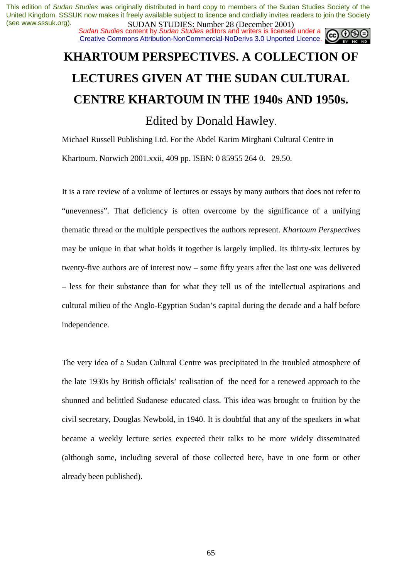*Sudan Studies* content by *Sudan Studies* editors and writers is licensed under a Creative Commons Attribution-NonCommercial-NoDerivs 3.0 Unported Licence.



# **KHARTOUM PERSPECTIVES. A COLLECTION OF LECTURES GIVEN AT THE SUDAN CULTURAL CENTRE KHARTOUM IN THE 1940s AND 1950s.**

Edited by Donald Hawley.

Michael Russell Publishing Ltd. For the Abdel Karim Mirghani Cultural Centre in Khartoum. Norwich 2001.xxii, 409 pp. ISBN: 0 85955 264 0. 29.50.

It is a rare review of a volume of lectures or essays by many authors that does not refer to "unevenness". That deficiency is often overcome by the significance of a unifying thematic thread or the multiple perspectives the authors represent. *Khartoum Perspectives* may be unique in that what holds it together is largely implied. Its thirty-six lectures by twenty-five authors are of interest now – some fifty years after the last one was delivered – less for their substance than for what they tell us of the intellectual aspirations and cultural milieu of the Anglo-Egyptian Sudan's capital during the decade and a half before independence.

The very idea of a Sudan Cultural Centre was precipitated in the troubled atmosphere of the late 1930s by British officials' realisation of the need for a renewed approach to the shunned and belittled Sudanese educated class. This idea was brought to fruition by the civil secretary, Douglas Newbold, in 1940. It is doubtful that any of the speakers in what became a weekly lecture series expected their talks to be more widely disseminated (although some, including several of those collected here, have in one form or other already been published).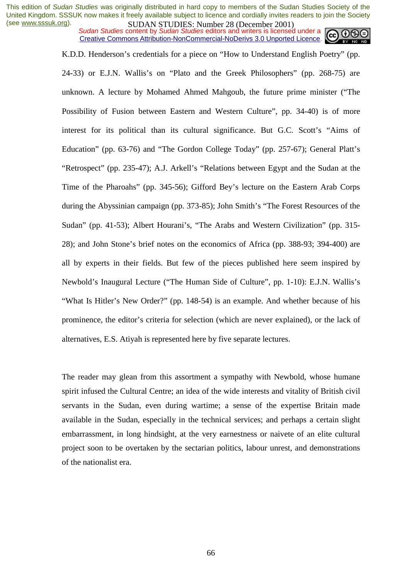*Sudan Studies* content by *Sudan Studies* editors and writers is licensed under a Creative Commons Attribution-NonCommercial-NoDerivs 3.0 Unported Licence.



K.D.D. Henderson's credentials for a piece on "How to Understand English Poetry" (pp.

24-33) or E.J.N. Wallis's on "Plato and the Greek Philosophers" (pp. 268-75) are unknown. A lecture by Mohamed Ahmed Mahgoub, the future prime minister ("The Possibility of Fusion between Eastern and Western Culture", pp. 34-40) is of more interest for its political than its cultural significance. But G.C. Scott's "Aims of Education" (pp. 63-76) and "The Gordon College Today" (pp. 257-67); General Platt's "Retrospect" (pp. 235-47); A.J. Arkell's "Relations between Egypt and the Sudan at the Time of the Pharoahs" (pp. 345-56); Gifford Bey's lecture on the Eastern Arab Corps during the Abyssinian campaign (pp. 373-85); John Smith's "The Forest Resources of the Sudan" (pp. 41-53); Albert Hourani's, "The Arabs and Western Civilization" (pp. 315- 28); and John Stone's brief notes on the economics of Africa (pp. 388-93; 394-400) are all by experts in their fields. But few of the pieces published here seem inspired by Newbold's Inaugural Lecture ("The Human Side of Culture", pp. 1-10): E.J.N. Wallis's "What Is Hitler's New Order?" (pp. 148-54) is an example. And whether because of his prominence, the editor's criteria for selection (which are never explained), or the lack of alternatives, E.S. Atiyah is represented here by five separate lectures.

The reader may glean from this assortment a sympathy with Newbold, whose humane spirit infused the Cultural Centre; an idea of the wide interests and vitality of British civil servants in the Sudan, even during wartime; a sense of the expertise Britain made available in the Sudan, especially in the technical services; and perhaps a certain slight embarrassment, in long hindsight, at the very earnestness or naivete of an elite cultural project soon to be overtaken by the sectarian politics, labour unrest, and demonstrations of the nationalist era.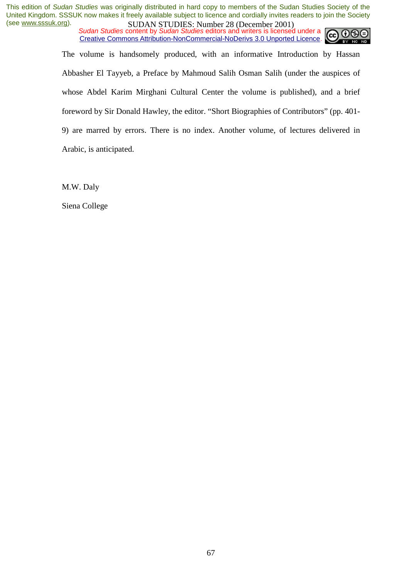*Sudan Studies* content by *Sudan Studies* editors and writers is licensed under a Creative Commons Attribution-NonCommercial-NoDerivs 3.0 Unported Licence.



The volume is handsomely produced, with an informative Introduction by Hassan Abbasher El Tayyeb, a Preface by Mahmoud Salih Osman Salih (under the auspices of whose Abdel Karim Mirghani Cultural Center the volume is published), and a brief foreword by Sir Donald Hawley, the editor. "Short Biographies of Contributors" (pp. 401- 9) are marred by errors. There is no index. Another volume, of lectures delivered in Arabic, is anticipated.

M.W. Daly

Siena College